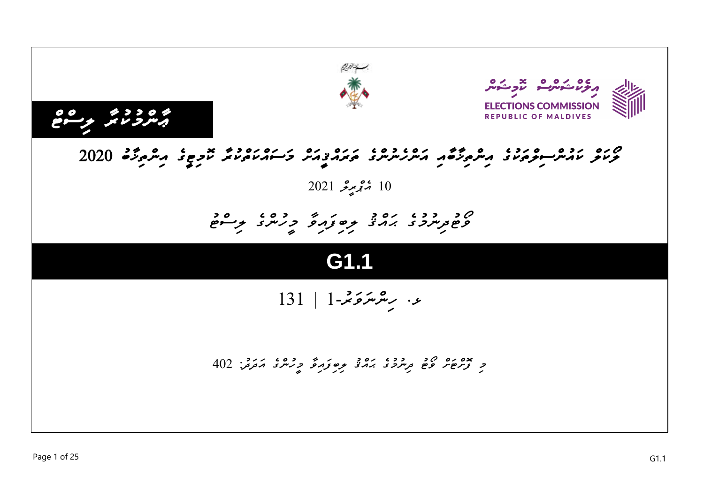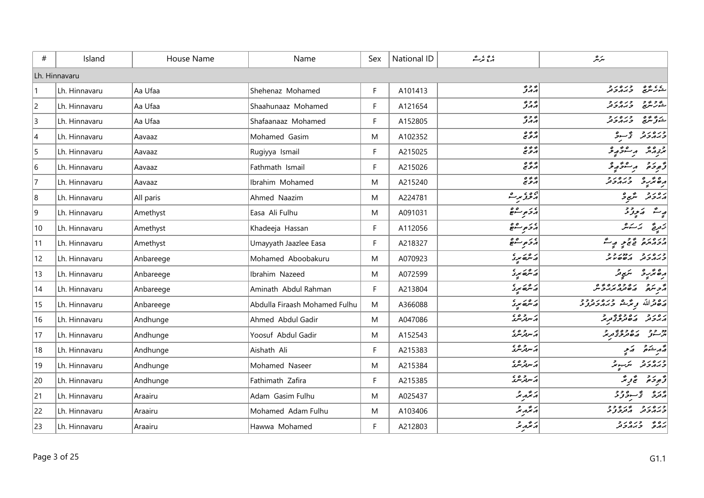| #              | Island        | House Name | Name                          | Sex       | National ID | ، ه ، ره<br>مربح بمرت      | يترمثر                                                |
|----------------|---------------|------------|-------------------------------|-----------|-------------|----------------------------|-------------------------------------------------------|
|                | Lh. Hinnavaru |            |                               |           |             |                            |                                                       |
|                | Lh. Hinnavaru | Aa Ufaa    | Shehenaz Mohamed              | F         | A101413     | ەدىر                       | و ره ر و<br><i>و پر د</i> تر<br>ے <sub>ک</sub> ے محرچ |
| $\overline{c}$ | Lh. Hinnavaru | Aa Ufaa    | Shaahunaaz Mohamed            | F         | A121654     | پروژ                       | ے محر مربع<br>مشاہر سریع<br>و ر ه ر و<br>تر پروتر     |
| $\overline{3}$ | Lh. Hinnavaru | Aa Ufaa    | Shafaanaaz Mohamed            | F         | A152805     | ەدىر                       | ىشۇ ئەتتى بىر<br>و رە ر د<br><i>د ب</i> رگرىز         |
| $\overline{4}$ | Lh. Hinnavaru | Aavaaz     | Mohamed Gasim                 | M         | A102352     | پژیځ مخ                    | و ره ر و<br><i>و پر</i> و تر<br>تۇسىۋ                 |
| 5              | Lh. Hinnavaru | Aavaaz     | Rugiyya Ismail                | F         | A215025     | پر په ه<br>در ه            | برومز مارومو                                          |
| $\sqrt{6}$     | Lh. Hinnavaru | Aavaaz     | Fathmath Ismail               | F         | A215026     | پر په ه<br>در ونځ          | قهوده وعوضه                                           |
| $\overline{7}$ | Lh. Hinnavaru | Aavaaz     | Ibrahim Mohamed               | ${\sf M}$ | A215240     | پر پره<br>  هر پر مح       |                                                       |
| 8              | Lh. Hinnavaru | All paris  | Ahmed Naazim                  | ${\sf M}$ | A224781     | ە ۋې <sub>چ</sub> ىر مە    | رەرو شج                                               |
| 9              | Lh. Hinnavaru | Amethyst   | Easa Ali Fulhu                | M         | A091031     | أبرزموسفي                  | ەپ ھەم دۇرى                                           |
| 10             | Lh. Hinnavaru | Amethyst   | Khadeeja Hassan               | F         | A112056     | لرځمو شق                   | تزمريح الكاشكر                                        |
| 11             | Lh. Hinnavaru | Amethyst   | Umayyath Jaazlee Easa         | F         | A218327     | وكالمحر صفح                |                                                       |
| 12             | Lh. Hinnavaru | Anbareege  | Mohamed Aboobakuru            | M         | A070923     | ړ ه په په په<br>د سره پر د | כנסנכ נחנכב<br>כגתכת תם סייג                          |
| 13             | Lh. Hinnavaru | Anbareege  | Ibrahim Nazeed                | ${\sf M}$ | A072599     | ر ۵ سره بر د<br>پرسره بر د | أرە ئۇر ئىس ئىر                                       |
| 14             | Lh. Hinnavaru | Anbareege  | Aminath Abdul Rahman          | F         | A213804     | ر ه ر پر ،<br>د سرچ سر ،   |                                                       |
| 15             | Lh. Hinnavaru | Anbareege  | Abdulla Firaash Mohamed Fulhu | ${\sf M}$ | A366088     | ر شرکھ سر <sup>ج</sup>     | رە داللە <sub>ئو</sub> بۇ شەرە دەرد                   |
| 16             | Lh. Hinnavaru | Andhunge   | Ahmed Abdul Gadir             | M         | A047086     | بر سرچره پر                | ر ٥ ر و مر ٥ و ٥ و و و<br>د برو تر مده تر و تو بر     |
| 17             | Lh. Hinnavaru | Andhunge   | Yoosuf Abdul Gadir            | M         | A152543     | بر سرچره پر                | دو و و ده وه پر و<br>افرنستو اړه ترمزگورمر            |
| 18             | Lh. Hinnavaru | Andhunge   | Aishath Ali                   | F         | A215383     | بر سرچر ص ۽<br>مرس         | أقهر شنعتى أقدمي                                      |
| 19             | Lh. Hinnavaru | Andhunge   | Mohamed Naseer                | M         | A215384     | بر سرچره پر                | دره در د سرگیریز                                      |
| 20             | Lh. Hinnavaru | Andhunge   | Fathimath Zafira              | F         | A215385     | پر سوټرسرۍ                 | قهوخو مخموش                                           |
| 21             | Lh. Hinnavaru | Araairu    | Adam Gasim Fulhu              | M         | A025437     | برمجي محر                  | أردره تخ سوفري                                        |
| 22             | Lh. Hinnavaru | Araairu    | Mohamed Adam Fulhu            | M         | A103406     | لرعرمر                     | כנסנכ שנסכב<br>כמהכת התבנת                            |
| 23             | Lh. Hinnavaru | Araairu    | Hawwa Mohamed                 | F         | A212803     | ر بر بر<br>مربر بر         | ره د دره رد<br>بردگر حددحل                            |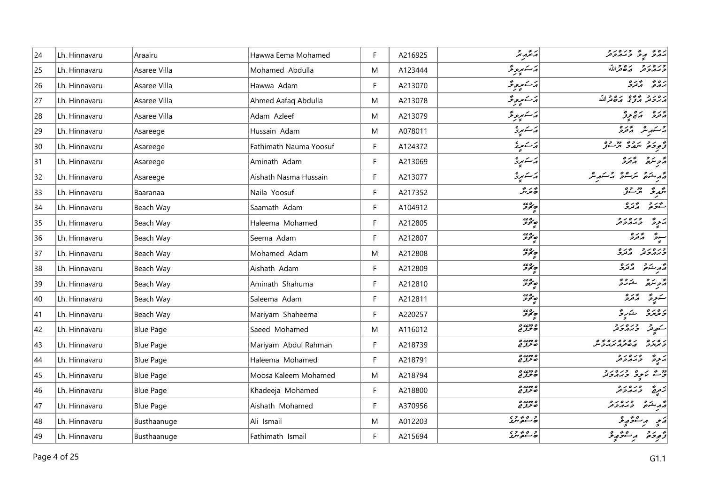| 24 | Lh. Hinnavaru | Araairu          | Hawwa Eema Mohamed     | F  | A216925 | أرشهر بز                              | ره و دره دره                                                   |
|----|---------------|------------------|------------------------|----|---------|---------------------------------------|----------------------------------------------------------------|
| 25 | Lh. Hinnavaru | Asaree Villa     | Mohamed Abdulla        | M  | A123444 | ە سەمبەء قە                           | وبره برو بره و الله                                            |
| 26 | Lh. Hinnavaru | Asaree Villa     | Hawwa Adam             | F. | A213070 | أەسىسموقى                             | ره په پره<br>پروتو گرمرو                                       |
| 27 | Lh. Hinnavaru | Asaree Villa     | Ahmed Aafaq Abdulla    | M  | A213078 | ئەسەمبەھ بۇ                           | بره برو بروه بره و الله                                        |
| 28 | Lh. Hinnavaru | Asaree Villa     | Adam Azleef            | M  | A213079 | ە سەمبەرى <sup>تى</sup> ر<br>مەمبرىيە | أوره ده دو                                                     |
| 29 | Lh. Hinnavaru | Asareege         | Hussain Adam           | M  | A078011 | وَسَعَبِرِهِ                          | ا می شور می دره<br>مناسبه می مرفترد                            |
| 30 | Lh. Hinnavaru | Asareege         | Fathimath Nauma Yoosuf | F  | A124372 | ېز سەئىي <sub>د</sub> ى<br>ئ          | و د د د ده ده ده<br>گروه سمد ترسن                              |
| 31 | Lh. Hinnavaru | Asareege         | Aminath Adam           | F  | A213069 | ېز سەئىي <sub>ە</sub> ئە              | أأروسي المجدد                                                  |
| 32 | Lh. Hinnavaru | Asareege         | Aishath Nasma Hussain  | F  | A213077 | لەسەمبەي                              | مەر خوم سر دىك بر خور ش                                        |
| 33 | Lh. Hinnavaru | Baaranaa         | Naila Yoosuf           | F  | A217352 | پر بر<br>ئ <i>ە</i> ئىرىتر            | شمەقە ئ <sup>ى</sup> ر تەرەپى                                  |
| 34 | Lh. Hinnavaru | Beach Way        | Saamath Adam           | F. | A104912 | ے می می<br>ایچ محر حر                 | ر در دره<br>سنوه ارترو                                         |
| 35 | Lh. Hinnavaru | Beach Way        | Haleema Mohamed        | F  | A212805 | <br> حوکتر حر                         | و رە ر د<br>تر پر تر تر<br>برَجِرةٌ                            |
| 36 | Lh. Hinnavaru | Beach Way        | Seema Adam             | F  | A212807 | ە ئەم<br>ئ                            | سوش المجردة                                                    |
| 37 | Lh. Hinnavaru | Beach Way        | Mohamed Adam           | M  | A212808 | ەرە<br>توكىمى                         | وره رو په ره<br><i>وبر</i> روز                                 |
| 38 | Lh. Hinnavaru | Beach Way        | Aishath Adam           | F  | A212809 | ەپ<br>ئەمگە                           | ه دره وره<br>مرشوم مترد                                        |
| 39 | Lh. Hinnavaru | Beach Way        | Aminath Shahuma        | F  | A212810 | ے محور<br>پ                           |                                                                |
| 40 | Lh. Hinnavaru | Beach Way        | Saleema Adam           | F  | A212811 | ج کمی ی                               | سنور أدره                                                      |
| 41 | Lh. Hinnavaru | Beach Way        | Mariyam Shaheema       | F. | A220257 | حوم ه<br>  ح                          | رەرە شەرىج                                                     |
| 42 | Lh. Hinnavaru | <b>Blue Page</b> | Saeed Mohamed          | M  | A116012 | ہ دورن ہ<br>ص محرک تع                 | ورەرد<br>سکھ تر                                                |
| 43 | Lh. Hinnavaru | <b>Blue Page</b> | Mariyam Abdul Rahman   | F. | A218739 | ه ددن ه<br>ن مرکز تع                  | ره وه ره ده<br>پره تربر تر تر<br>ر ه ر ه<br><del>ر</del> بربرگ |
| 44 | Lh. Hinnavaru | <b>Blue Page</b> | Haleema Mohamed        | F  | A218791 | ہ دورے ہ<br>ن مرکز تع                 | پروژه در در د                                                  |
| 45 | Lh. Hinnavaru | <b>Blue Page</b> | Moosa Kaleem Mohamed   | M  | A218794 | ہ دون ہ<br>ن مرکز تع                  | دور برو وره دو                                                 |
| 46 | Lh. Hinnavaru | <b>Blue Page</b> | Khadeeja Mohamed       | F  | A218800 | 2 دورن ه<br>  تص عربي فع              | زىرى درەرد                                                     |
| 47 | Lh. Hinnavaru | <b>Blue Page</b> | Aishath Mohamed        | F. | A370956 | ه ددن ه<br>ن مرکز تع                  | وكروشتم وره دو                                                 |
| 48 | Lh. Hinnavaru | Busthaanuge      | Ali Ismail             | M  | A012203 | د ۱۵ و د<br>حاصره مرد                 | ړې رېږېږ                                                       |
| 49 | Lh. Hinnavaru | Busthaanuge      | Fathimath Ismail       | F  | A215694 | ه ۵ په د پر<br>ت <i>ق سره مر</i> د    | تورد ومعموم                                                    |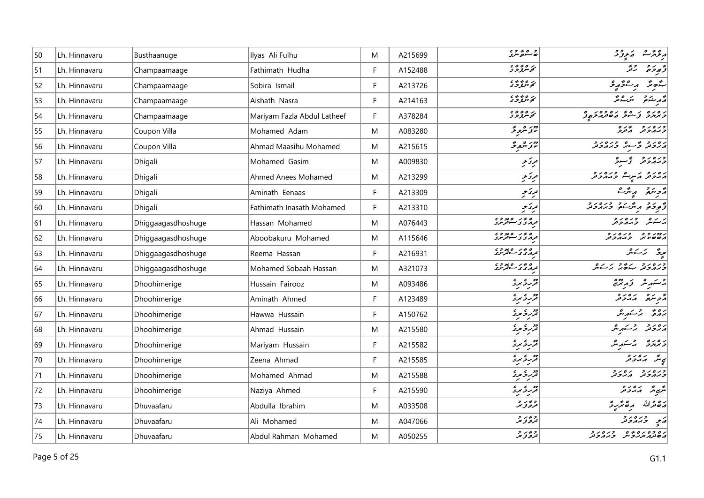| 50 | Lh. Hinnavaru | Busthaanuge        | Ilyas Ali Fulhu             | ${\sf M}$ | A215699 | و عدم و ،<br>حاصره مرد                           | پروټرنت په په پروژند                              |
|----|---------------|--------------------|-----------------------------|-----------|---------|--------------------------------------------------|---------------------------------------------------|
| 51 | Lh. Hinnavaru | Champaamaage       | Fathimath Hudha             | F         | A152488 | ىر ەيرىرى<br>كىمىسرتىرى                          | وٌودَهُ رُمَّرُ                                   |
| 52 | Lh. Hinnavaru | Champaamaage       | Sobira Ismail               | F         | A213726 | ىر ە د د ،<br>كى سرۇرى                           | ينعفر مشوره                                       |
| 53 | Lh. Hinnavaru | Champaamaage       | Aishath Nasra               | F         | A214163 | ىر 2 شەر<br>كى سرۇرى                             | مەر شىم ئىسىر                                     |
| 54 | Lh. Hinnavaru | Champaamaage       | Mariyam Fazla Abdul Latheef | F         | A378284 | ىر ھەم ئەت                                       | رەرە بەھ بەدەب<br>دىمەدد ئەشىر مەھىمەن جې         |
| 55 | Lh. Hinnavaru | Coupon Villa       | Mohamed Adam                | ${\sf M}$ | A083280 | تزبر مثر محرقحه                                  | כנסנכ בנס<br>כ <i>ג</i> ונכנ <sub>י</sub> ונקב    |
| 56 | Lh. Hinnavaru | Coupon Villa       | Ahmad Maasihu Mohamed       | ${\sf M}$ | A215615 | تقوير متعرقه                                     | גם גב ביית בגם גב                                 |
| 57 | Lh. Hinnavaru | Dhigali            | Mohamed Gasim               | M         | A009830 | مرتز مو<br>مر                                    | ورەر د گەسەۋ                                      |
| 58 | Lh. Hinnavaru | Dhigali            | Ahmed Anees Mohamed         | M         | A213299 | <sub>موم</sub> ح مو<br>ر                         | ره رو رس و دره رو                                 |
| 59 | Lh. Hinnavaru | Dhigali            | Aminath Eenaas              | F         | A213309 | مرتز مو                                          | أزجر سترور ويترب                                  |
| 60 | Lh. Hinnavaru | Dhigali            | Fathimath Inasath Mohamed   | F         | A213310 | <sub>قرى</sub> مو<br>مر                          | و دو مرسر وره دو                                  |
| 61 | Lh. Hinnavaru | Dhiggaagasdhoshuge | Hassan Mohamed              | ${\sf M}$ | A076443 | ه ۶ بر ۲۰۰۵ و د<br>تورد د که سوتورو              | يركبش وره دو                                      |
| 62 | Lh. Hinnavaru | Dhiggaagasdhoshuge | Aboobakuru Mohamed          | M         | A115646 | ہ پھر رہے و ء<br>توجری کی سسوتو ری               |                                                   |
| 63 | Lh. Hinnavaru | Dhiggaagasdhoshuge | Reema Hassan                | F         | A216931 | ہ پھر رہے و ء<br>توجری کی سسوتو ری               | پرچ پر سکھ                                        |
| 64 | Lh. Hinnavaru | Dhiggaagasdhoshuge | Mohamed Sobaah Hassan       | M         | A321073 | ہ بھر رہ ہو و تا<br>توہری <sub>ک</sub> ے مسونوری | ورەرو بەھ ئەسەش                                   |
| 65 | Lh. Hinnavaru | Dhoohimerige       | Hussain Fairooz             | ${\sf M}$ | A093486 | ود ره بره<br>فرر د برد                           | ير سكور محمد تروجي                                |
| 66 | Lh. Hinnavaru | Dhoohimerige       | Aminath Ahmed               | F         | A123489 | دد به په<br>تررڅ برنگ                            | أثرم سره در در د                                  |
| 67 | Lh. Hinnavaru | Dhoohimerige       | Hawwa Hussain               | F         | A150762 | ود ره بره<br>تررڅ بره                            | دەۋ بەسكەبلىر                                     |
| 68 | Lh. Hinnavaru | Dhoohimerige       | Ahmad Hussain               | ${\sf M}$ | A215580 | دد<br>قرر د عرد                                  | رەرد ئەسكەر                                       |
| 69 | Lh. Hinnavaru | Dhoohimerige       | Mariyam Hussain             | F         | A215582 | دو په په<br>ترر د مرد                            | دەرە جىمرى                                        |
| 70 | Lh. Hinnavaru | Dhoohimerige       | Zeena Ahmad                 | F         | A215585 | دد به په<br>تر <i>ر</i> ځ مرب                    | ى ئىگە ئەكرىقىد                                   |
| 71 | Lh. Hinnavaru | Dhoohimerige       | Mohamed Ahmad               | ${\sf M}$ | A215588 | دو د په په<br>ترر د مرد                          | כנסנכ נסנכ<br>כגמכת הגבת                          |
| 72 | Lh. Hinnavaru | Dhoohimerige       | Naziya Ahmed                | F         | A215590 | ود<br>قرر د عرد                                  | شجار من المركز و الم                              |
| 73 | Lh. Hinnavaru | Dhuvaafaru         | Abdulla Ibrahim             | ${\sf M}$ | A033508 | و و د ر<br>تر <i>وگ</i> مر                       | رەقراللە مەھمىرد                                  |
| 74 | Lh. Hinnavaru | Dhuvaafaru         | Ali Mohamed                 | M         | A047066 | و په ر<br>تر <i>وگ</i> مر                        | د دره دو.<br>مور درمارو                           |
| 75 | Lh. Hinnavaru | Dhuvaafaru         | Abdul Rahman Mohamed        | M         | A050255 | و پر بر<br>تر <i>وگ</i> تر                       | ره وه ره ده مدر و در د<br>پره تربر تر سر مدر و تر |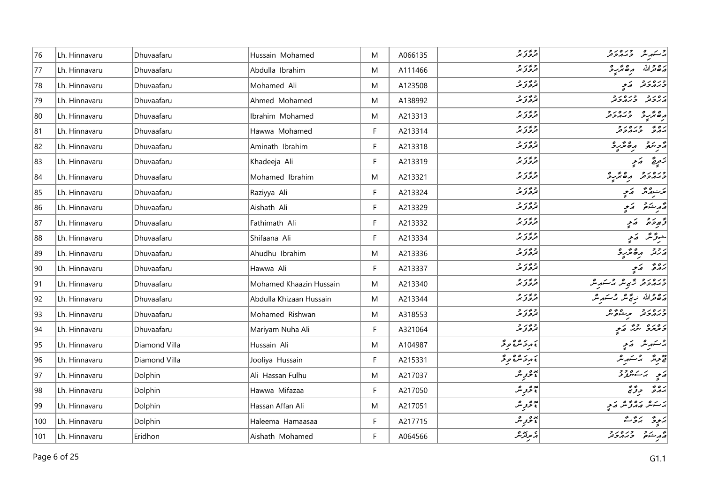| 76  | Lh. Hinnavaru | Dhuvaafaru    | Hussain Mohamed         | M  | A066135 | و په بر ح<br>تر <i>وگ</i> مر     | ج شهر شده در ۱۶۸۵ م                                                                                                     |
|-----|---------------|---------------|-------------------------|----|---------|----------------------------------|-------------------------------------------------------------------------------------------------------------------------|
| 77  | Lh. Hinnavaru | Dhuvaafaru    | Abdulla Ibrahim         | M  | A111466 | و په بر ح<br>تر <i>وگ</i> مر     | جەقراللە<br>برە ئۆرۈ                                                                                                    |
| 78  | Lh. Hinnavaru | Dhuvaafaru    | Mohamed Ali             | M  | A123508 | و په بر ح<br>مر <i>وگ</i> مر     | ورەرد كەي                                                                                                               |
| 79  | Lh. Hinnavaru | Dhuvaafaru    | Ahmed Mohamed           | M  | A138992 | و په ر<br>تر <i>وگ</i> مر        | גפגב בגםגב<br>גגבע בגגבע                                                                                                |
| 80  | Lh. Hinnavaru | Dhuvaafaru    | Ibrahim Mohamed         | M  | A213313 | و په بر و<br>تر <i>وگ</i> مر     | و ره ر و<br><i>د ب</i> رگرفر<br>ەر ھەترىر <i>ۋ</i>                                                                      |
| 81  | Lh. Hinnavaru | Dhuvaafaru    | Hawwa Mohamed           | F  | A213314 | و په ر<br>تر <i>وگ</i> مر        | ره د دره رو<br>برمر <i>و د بر</i> مرومر                                                                                 |
| 82  | Lh. Hinnavaru | Dhuvaafaru    | Aminath Ibrahim         | F  | A213318 | و پر بر<br>تر <i>وگ</i> تر       |                                                                                                                         |
| 83  | Lh. Hinnavaru | Dhuvaafaru    | Khadeeja Ali            | F  | A213319 | و په بر ح<br>تر <i>وگ</i> مر     | رَمْرِيحَ - مَا تَحْ                                                                                                    |
| 84  | Lh. Hinnavaru | Dhuvaafaru    | Mohamed Ibrahim         | M  | A213321 | و په ر<br>تر <i>وگ</i> مر        | - <i>در ور</i> و<br>5,50,00                                                                                             |
| 85  | Lh. Hinnavaru | Dhuvaafaru    | Raziyya Ali             | F  | A213324 | و په بر ح<br>مر <i>وگ</i> مر     | برجيده كالمح                                                                                                            |
| 86  | Lh. Hinnavaru | Dhuvaafaru    | Aishath Ali             | F  | A213329 | و په بر ح<br>مر <i>وگ</i> مر     | و المراسط المراسطين و المراسطين المراسطين المراسطين المراسطين المراسطين المراسطين المراسطين المراسطين المراسطين<br>مراس |
| 87  | Lh. Hinnavaru | Dhuvaafaru    | Fathimath Ali           | F  | A213332 | و په ر<br>تر <i>وگ</i> مر        | 5, 2, 5<br>رځ په                                                                                                        |
| 88  | Lh. Hinnavaru | Dhuvaafaru    | Shifaana Ali            | F. | A213334 | و در د<br>تروکو بر               | لمؤثر أيج                                                                                                               |
| 89  | Lh. Hinnavaru | Dhuvaafaru    | Ahudhu Ibrahim          | M  | A213336 | و ه ر و<br>تر <i>وگ</i> بر       | $rac{1}{5}$                                                                                                             |
| 90  | Lh. Hinnavaru | Dhuvaafaru    | Hawwa Ali               | F  | A213337 | و پر جر<br>تر <i>وگ</i> تر       | ره و مر                                                                                                                 |
| 91  | Lh. Hinnavaru | Dhuvaafaru    | Mohamed Khaazin Hussain | M  | A213340 | و په بر ح<br>مر <i>وگ</i> مر     | ورەرو ئىم ئۇر ئەسكەن                                                                                                    |
| 92  | Lh. Hinnavaru | Dhuvaafaru    | Abdulla Khizaan Hussain | M  | A213344 | و پر بر<br>تر <i>وگ</i> تر       | رَهُ قَرْاللَّهُ يَا تَحْتَمْرُ بِرْسَوْرِيْرَ                                                                          |
| 93  | Lh. Hinnavaru | Dhuvaafaru    | Mohamed Rishwan         | M  | A318553 | و پر بر<br>تر <i>وگ</i> تر       |                                                                                                                         |
| 94  | Lh. Hinnavaru | Dhuvaafaru    | Mariyam Nuha Ali        | F. | A321064 | و په تر چ                        | د ه ده دره کرد                                                                                                          |
| 95  | Lh. Hinnavaru | Diamond Villa | Hussain Ali             | M  | A104987 | ) ، برځ مرغ و ځه                 |                                                                                                                         |
| 96  | Lh. Hinnavaru | Diamond Villa | Jooliya Hussain         | F  | A215331 | ،<br>، رۇشنام <i>ۇ</i> ئى        | بر سور میں کیا<br>بر سور میں کیا<br>بیر بر بر سور میں                                                                   |
| 97  | Lh. Hinnavaru | Dolphin       | Ali Hassan Fulhu        | M  | A217037 | بره په<br>ډغرمر                  |                                                                                                                         |
| 98  | Lh. Hinnavaru | Dolphin       | Hawwa Mifazaa           | F. | A217050 | بوءِ <sub>و</sub> ير             | $rac{22}{5}$ $rac{22}{7}$                                                                                               |
| 99  | Lh. Hinnavaru | Dolphin       | Hassan Affan Ali        | M  | A217051 | لعوفر مر                         |                                                                                                                         |
| 100 | Lh. Hinnavaru | Dolphin       | Haleema Hamaasaa        | F. | A217715 | پوږمر                            | ىرىكى مەۋۋىر مېر<br>مەيرۇ - مەۋىر                                                                                       |
| 101 | Lh. Hinnavaru | Eridhon       | Aishath Mohamed         | F  | A064566 | <sup>ی</sup> بر تر مر<br>مرمرمنز | د در دره دره<br>مگه شوم وبرمرونر                                                                                        |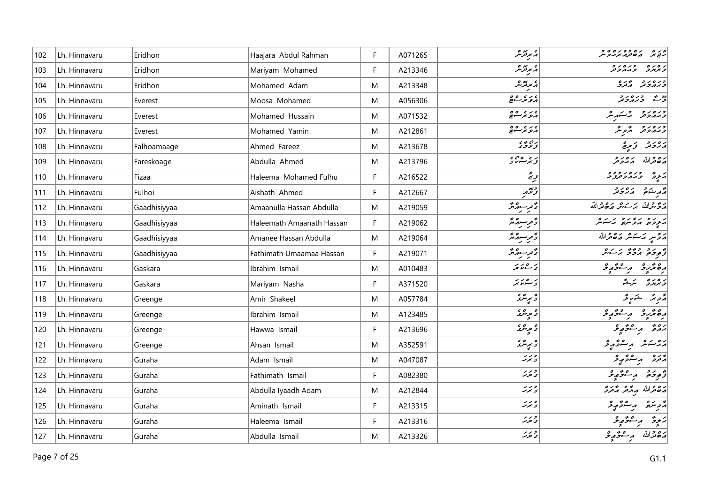| 102 | Lh. Hinnavaru | Eridhon      | Haajara Abdul Rahman      | $\mathsf F$ | A071265 | ە بىر قىرىگر                     | ر ه و ه د ه د و<br>پره تربر تر بر<br>ی ر بر<br>ترقی مگر |
|-----|---------------|--------------|---------------------------|-------------|---------|----------------------------------|---------------------------------------------------------|
| 103 | Lh. Hinnavaru | Eridhon      | Mariyam Mohamed           | F.          | A213346 | ې پر پیر مر<br>مرمرمنر           | ر ه ر ه<br><del>د</del> بربرد                           |
| 104 | Lh. Hinnavaru | Eridhon      | Mohamed Adam              | M           | A213348 | <sup>ی</sup> بر تر مر<br>مرمرمنز | ورەر د پرە<br><i>جد</i> ىرىتر ئ <i>رىرى</i>             |
| 105 | Lh. Hinnavaru | Everest      | Moosa Mohamed             | M           | A056306 | ې په په ده ه<br>مرغ مرسو         | وو عدد وراه د                                           |
| 106 | Lh. Hinnavaru | Everest      | Mohamed Hussain           | M           | A071532 | ې په په ده ه<br>مرغو سرچ         | ورەرو ئەسەر                                             |
| 107 | Lh. Hinnavaru | Everest      | Mohamed Yamin             | M           | A212861 | ى ر <sub>ى مە</sub> ھ            | ورەرو ۋە                                                |
| 108 | Lh. Hinnavaru | Falhoamaage  | Ahmed Fareez              | M           | A213678 | ر 0 ء ،<br>و د 5 د               | أرور وتربره                                             |
| 109 | Lh. Hinnavaru | Fareskoage   | Abdulla Ahmed             | M           | A213796 | ر ۽ هءِ<br>تو پڻرسونو پي         | رە قراللە كەردىر                                        |
| 110 | Lh. Hinnavaru | Fizaa        | Haleema Mohamed Fulhu     | F.          | A216522 | وتج                              | ر در در در دور<br>بروژ در درون                          |
| 111 | Lh. Hinnavaru | Fulhoi       | Aishath Ahmed             | F.          | A212667 | ويود                             | مەرشىمى مەردىر                                          |
| 112 | Lh. Hinnavaru | Gaadhisiyyaa | Amaanulla Hassan Abdulla  | M           | A219059 | و مور سوهر دیگر<br>مر            | مَرَّقَ بِمَراللَّهُ بَرَسَوْسَ مَرْدَّ قَرْاللَّه      |
| 113 | Lh. Hinnavaru | Gaadhisiyyaa | Haleemath Amaanath Hassan | F           | A219062 | تۇ تەرسىدە بىر<br>  سىمىدىسى     | پر دو دورو در ده                                        |
| 114 | Lh. Hinnavaru | Gaadhisiyyaa | Amanee Hassan Abdulla     | M           | A219064 | و محمد سوه پر<br>سر              | أرؤس برسوسه ره قرالله                                   |
| 115 | Lh. Hinnavaru | Gaadhisiyyaa | Fathimath Umaamaa Hassan  | F           | A219071 | پی مرسوم پی<br>  پی مرسوم پی     | ۋۈرۈ دەۋ بەسەر                                          |
| 116 | Lh. Hinnavaru | Gaskara      | Ibrahim Ismail            | M           | A010483 | ر 2 س <sup>ر</sup> بر            | رەئزېر رېئورگو                                          |
| 117 | Lh. Hinnavaru | Gaskara      | Mariyam Nasha             | F.          | A371520 | ى سەرىمىر                        | ر ه بر ه<br><del>د</del> بربر ژ<br>سرَيشَ               |
| 118 | Lh. Hinnavaru | Greenge      | Amir Shakeel              | M           | A057784 | ه مړينو <sup>ه</sup>             | ړ پر شور د                                              |
| 119 | Lh. Hinnavaru | Greenge      | Ibrahim Ismail            | M           | A123485 | ه مړسمه<br>د پ                   | ە ھەترىرى<br>رەھىرىرى                                   |
| 120 | Lh. Hinnavaru | Greenge      | Hawwa Ismail              | F           | A213696 | ه مړينو <sup>ه</sup>             | برەپچ<br>ەرسىۋەپەي                                      |
| 121 | Lh. Hinnavaru | Greenge      | Ahsan Ismail              | M           | A352591 | ە بېرىش <sub>ى</sub>             | رەبە ھەمۋەپ                                             |
| 122 | Lh. Hinnavaru | Guraha       | Adam Ismail               | M           | A047087 | ح مر ر<br>ئ                      | برىشۇپەيۋ<br>ء ر ہ<br>پر ترو                            |
| 123 | Lh. Hinnavaru | Guraha       | Fathimath Ismail          | F           | A082380 | د بر ر<br>بح <b>س</b> رتر        | ژوده پر دوږو                                            |
| 124 | Lh. Hinnavaru | Guraha       | Abdulla Iyaadh Adam       | Μ           | A212844 | ح مر بر<br>مح <b>س</b> رت        | رە قراللە مەمزىر مەرد                                   |
| 125 | Lh. Hinnavaru | Guraha       | Aminath Ismail            | $\mathsf F$ | A213315 | د بر ر<br>بر برگ                 | Reng racket                                             |
| 126 | Lh. Hinnavaru | Guraha       | Haleema Ismail            | F           | A213316 | ح مورً<br>مح <b>س</b> حررً       | بزموقر<br>وستوتموعه                                     |
| 127 | Lh. Hinnavaru | Guraha       | Abdulla Ismail            | M           | A213326 | ح مر ر<br>مح <b>س</b> رت         | رە داللە مەشۇر ئو                                       |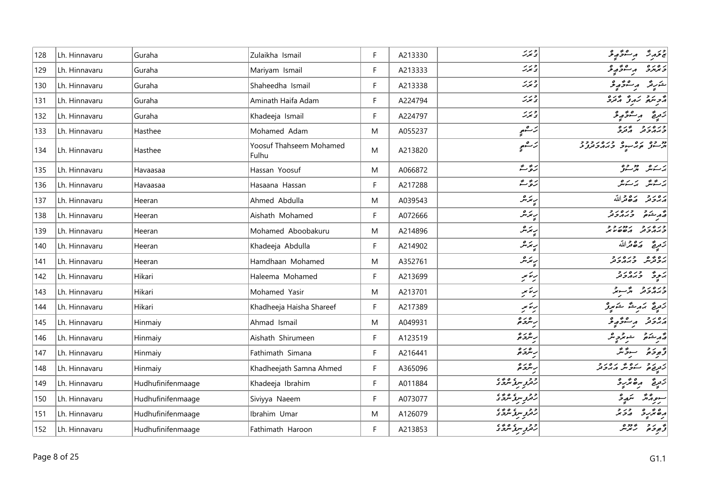| 128 | Lh. Hinnavaru | Guraha            | Zulaikha Ismail                  | F  | A213330 | ح مر ر<br>مح <b>س</b> رت        | تم محمد شركت من المستوجد المحمد المحمد المستوجد الم |
|-----|---------------|-------------------|----------------------------------|----|---------|---------------------------------|-----------------------------------------------------|
| 129 | Lh. Hinnavaru | Guraha            | Mariyam Ismail                   | F  | A213333 | و ر ر<br>ئ ئىرگ                 | دوره رعوٌ پو                                        |
| 130 | Lh. Hinnavaru | Guraha            | Shaheedha Ismail                 | F  | A213338 | ح مر ر<br>ئ                     | شربر معرور                                          |
| 131 | Lh. Hinnavaru | Guraha            | Aminath Haifa Adam               | F. | A224794 | و ر ر<br>ئ ئىرگ                 | أأوسكم كهرتى أأتدد                                  |
| 132 | Lh. Hinnavaru | Guraha            | Khadeeja Ismail                  | F. | A224797 | ح مر ر<br>ئ                     | زَمِرِيَّ رِ جُوَّرٍ وَ                             |
| 133 | Lh. Hinnavaru | Hasthee           | Mohamed Adam                     | M  | A055237 | ئرشقمچ                          | وره د وره                                           |
| 134 | Lh. Hinnavaru | Hasthee           | Yoosuf Thahseem Mohamed<br>Fulhu | M  | A213820 | ئرشقمچ                          | ח כם גם - ם כגם גבבד<br>חגיית ים גיייב ב גובעת ג    |
| 135 | Lh. Hinnavaru | Havaasaa          | Hassan Yoosuf                    | M  | A066872 | رۇشە                            | برسەش بۇسۇمى                                        |
| 136 | Lh. Hinnavaru | Havaasaa          | Hasaana Hassan                   | F  | A217288 | تەڭ شە                          | يُاسْتَمَرَّ بِرَسْتَمْرَ                           |
| 137 | Lh. Hinnavaru | Heeran            | Ahmed Abdulla                    | M  | A039543 | اپەتەبىر                        | برورد بره دالله                                     |
| 138 | Lh. Hinnavaru | Heeran            | Aishath Mohamed                  | F. | A072666 | رىرىىر                          | أشهر وره رو                                         |
| 139 | Lh. Hinnavaru | Heeran            | Mohamed Aboobakuru               | M  | A214896 | رىمەنىر                         | כנסנכ נחנכב<br>כגתכת תם סייג                        |
| 140 | Lh. Hinnavaru | Heeran            | Khadeeja Abdulla                 | F  | A214902 | رىرىگە                          | تزميعًا صَدَّة اللَّهُ                              |
| 141 | Lh. Hinnavaru | Heeran            | Hamdhaan Mohamed                 | M  | A352761 | رىمەنىر                         | رەپە درەرد<br>پروتۇس <i>وپەدو</i> تر                |
| 142 | Lh. Hinnavaru | Hikari            | Haleema Mohamed                  | F  | A213699 | ر را مر                         | و ره ر و<br><i>د ب</i> رگرفر<br>  پر پیچ            |
| 143 | Lh. Hinnavaru | Hikari            | Mohamed Yasir                    | M  | A213701 | رىكىر                           | כנסני ה"גיב"                                        |
| 144 | Lh. Hinnavaru | Hikari            | Khadheeja Haisha Shareef         | F  | A217389 | رىكىر                           | زَمِرِةً بَهْرِشٌ حَبَرٍوْ                          |
| 145 | Lh. Hinnavaru | Hinmaiy           | Ahmad Ismail                     | M  | A049931 | ر م <sup>ور ه</sup> و           | رەرد رەۋرو                                          |
| 146 | Lh. Hinnavaru | Hinmaiy           | Aishath Shirumeen                | F  | A123519 | برمرده                          | وكرمشكم المستوركر والكر                             |
| 147 | Lh. Hinnavaru | Hinmaiy           | Fathimath Simana                 | F  | A216441 | ر مرد ه                         | ۇ بودۇ سۆر                                          |
| 148 | Lh. Hinnavaru | Hinmaiy           | Khadheejath Samna Ahmed          | F  | A365096 | ر مرد ه                         | تزمره دره و رورد                                    |
| 149 | Lh. Hinnavaru | Hudhufinifenmaage | Khadeeja Ibrahim                 | F  | A011884 | ئەقرى <sub>ر مىز</sub> ھەممى ئە | دَمِيعٌ رِهْ مَّرِ وْ                               |
| 150 | Lh. Hinnavaru | Hudhufinifenmaage | Siviyya Naeem                    | F. | A073077 | ژن <i>ترو بىرتى مەھ</i>         |                                                     |
| 151 | Lh. Hinnavaru | Hudhufinifenmaage | Ibrahim Umar                     | M  | A126079 | 2 قرىر سرى مركزى                | ا پرځه تر پر د<br>ەرىر                              |
| 152 | Lh. Hinnavaru | Hudhufinifenmaage | Fathimath Haroon                 | F  | A213853 | 3 قرىر سرى مركزى                | و دو ودوه                                           |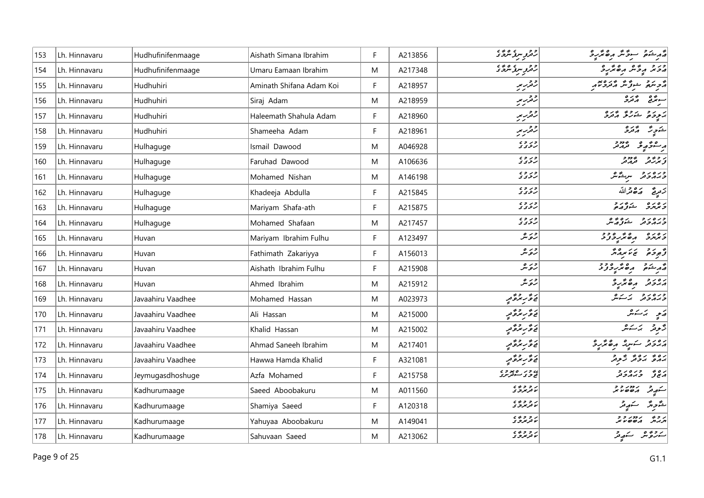| 153 | Lh. Hinnavaru | Hudhufinifenmaage | Aishath Simana Ibrahim   | F         | A213856 | 2 قرىر سرىگە مۇھ ئە                     | ړٌ رځنی سرځنګر ره ټررو                          |
|-----|---------------|-------------------|--------------------------|-----------|---------|-----------------------------------------|-------------------------------------------------|
| 154 | Lh. Hinnavaru | Hudhufinifenmaage | Umaru Eamaan Ibrahim     | M         | A217348 | 2 قرىر سرى مركزى<br>  2 قرىر سرى مركزى  | ودبر ودمر وهنرو                                 |
| 155 | Lh. Hinnavaru | Hudhuhiri         | Aminath Shifana Adam Koi | F.        | A218957 | رقم زیر<br> رقم رسم                     | ה<br>הקיים לינציה העקייה                        |
| 156 | Lh. Hinnavaru | Hudhuhiri         | Siraj Adam               | M         | A218959 | و و<br>رکور مر                          | سوړځ ډګره                                       |
| 157 | Lh. Hinnavaru | Hudhuhiri         | Haleemath Shahula Adam   | F         | A218960 | رحمور پر                                | ر د د د دور دره<br>پروژه شررتی مادر             |
| 158 | Lh. Hinnavaru | Hudhuhiri         | Shameeha Adam            | F         | A218961 | و و<br>رکوریو                           | شَوِرٌ الرَّمْرَةِ                              |
| 159 | Lh. Hinnavaru | Hulhaguge         | Ismail Dawood            | M         | A046928 | و ر و ،<br>رى ى                         | ת ביצוב החינה                                   |
| 160 | Lh. Hinnavaru | Hulhaguge         | Faruhad Dawood           | ${\sf M}$ | A106636 | و ر و ،<br>رى ى                         | د و د و و و و و و<br>  تو بورس بو العراق        |
| 161 | Lh. Hinnavaru | Hulhaguge         | Mohamed Nishan           | M         | A146198 | و ر و ،<br>رنگ ی                        | و ره ر د<br>تر <i>پر ډ</i> تر<br>سرڪرشر         |
| 162 | Lh. Hinnavaru | Hulhaguge         | Khadeeja Abdulla         | F.        | A215845 | و ر و ،<br>رنگ ی                        | ترميعً صَرَّة اللَّهُ                           |
| 163 | Lh. Hinnavaru | Hulhaguge         | Mariyam Shafa-ath        | F         | A215875 | و ر و ،<br>رى ى                         | رەرە شەدرد                                      |
| 164 | Lh. Hinnavaru | Hulhaguge         | Mohamed Shafaan          | M         | A217457 | و ر و ،<br>رند و د                      | ورەرو رەپەر<br><i>دىد</i> رونر شۆ <i>ۋە</i> شر  |
| 165 | Lh. Hinnavaru | Huvan             | Mariyam Ibrahim Fulhu    | F         | A123497 | حەر ھ<br>سرە مىر                        | ە ھېڭرىرو د د<br>ر ه ر ه<br><del>ر</del> بربرگر |
| 166 | Lh. Hinnavaru | Huvan             | Fathimath Zakariyya      | F         | A156013 | حەر ھ<br>سرە مىر                        | توجوخر تمامه والمحمد                            |
| 167 | Lh. Hinnavaru | Huvan             | Aishath Ibrahim Fulhu    | F         | A215908 | حەر ھ<br>سرە مىر                        | ومشتم مەردى                                     |
| 168 | Lh. Hinnavaru | Huvan             | Ahmed Ibrahim            | M         | A215912 | د ر ه<br>رو مگر                         | גפנק גם ביקב                                    |
| 169 | Lh. Hinnavaru | Javaahiru Vaadhee | Mohamed Hassan           | M         | A023973 | ئے قریر ترقی فیر                        | ورەرو پەسەش                                     |
| 170 | Lh. Hinnavaru | Javaahiru Vaadhee | Ali Hassan               | M         | A215000 | ئے قرىر ترقى تىر                        | أەيج أيم سكانتل                                 |
| 171 | Lh. Hinnavaru | Javaahiru Vaadhee | Khalid Hassan            | M         | A215002 | ئے قریر ترقی میں                        | تزوقر الإسكانل                                  |
| 172 | Lh. Hinnavaru | Javaahiru Vaadhee | Ahmad Saneeh Ibrahim     | M         | A217401 | ئے قریر ترقی پیر                        | ړ ور د سرمند مه پره پر                          |
| 173 | Lh. Hinnavaru | Javaahiru Vaadhee | Hawwa Hamda Khalid       | F         | A321081 | ئے قرىر ترقى تىيە                       | رەپ رەپ ۋىر                                     |
| 174 | Lh. Hinnavaru | Jeymugasdhoshuge  | Azfa Mohamed             | F         | A215758 | دے و رے پو و ء<br>فع حرمی مسلومور       | رە درەرد                                        |
| 175 | Lh. Hinnavaru | Kadhurumaage      | Saeed Aboobakuru         | M         | A011560 | ر و و د  ،<br>ما توبوری                 | בו המיני בי                                     |
| 176 | Lh. Hinnavaru | Kadhurumaage      | Shamiya Saeed            | F.        | A120318 | ر و و د  ،<br>ما توبوری                 | شورو سور                                        |
| 177 | Lh. Hinnavaru | Kadhurumaage      | Yahuyaa Aboobakuru       | M         | A149041 | ر و و د د<br>ما تعریمر <del>ت</del> ر ی | بزيريش<br>77/77/7                               |
| 178 | Lh. Hinnavaru | Kadhurumaage      | Sahuvaan Saeed           | M         | A213062 | ر و و د د<br>ما تعریمر <del>ت</del> ر ی | سەرەش سەمەتر                                    |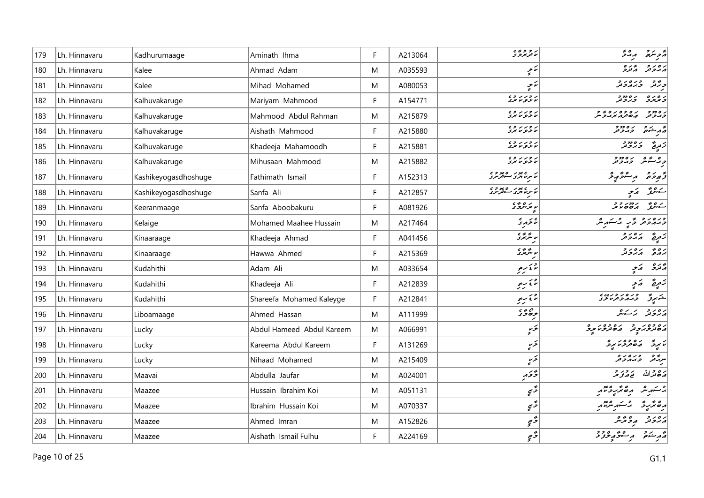| 179 | Lh. Hinnavaru | Kadhurumaage         | Aminath Ihma              | F  | A213064 | ر و و د ،<br>ما توبوری                    | ەرىر<br>لأحر مئرة                                                                                                                                                                                                               |
|-----|---------------|----------------------|---------------------------|----|---------|-------------------------------------------|---------------------------------------------------------------------------------------------------------------------------------------------------------------------------------------------------------------------------------|
| 180 | Lh. Hinnavaru | Kalee                | Ahmad Adam                | M  | A035593 | ئىمو                                      | بر 2 پر د<br>مربر تر تر<br>پور ہ<br>مرکزو                                                                                                                                                                                       |
| 181 | Lh. Hinnavaru | Kalee                | Mihad Mohamed             | M  | A080053 | ئىي                                       | و رە ر د<br><i>د ب</i> رگرىز<br>و گرگر                                                                                                                                                                                          |
| 182 | Lh. Hinnavaru | Kalhuvakaruge        | Mariyam Mahmood           | F. | A154771 | ر ور ر و ،<br>ما نوء ما بوی               | ر ه دو و<br>تربر <del>و</del> تر<br>ر ه ر ه<br><del>ر</del> بربرگ                                                                                                                                                               |
| 183 | Lh. Hinnavaru | Kalhuvakaruge        | Mahmood Abdul Rahman      | M  | A215879 | ر ور ر و ،<br>ما نوه ما بوی               | ر ٥ <i>٥ ٥ ٥ ٥ ٥ ٠</i><br>۵ <i>۵ تر ۸ بر بر</i> ر<br>ر ه دد و<br>تربر تر تر                                                                                                                                                     |
| 184 | Lh. Hinnavaru | Kalhuvakaruge        | Aishath Mahmood           | F  | A215880 | ر ور ر و ،<br>ما تره ما بوي               | انجه رخص ده دو <del>د</del><br>امگار شده کلیدوند                                                                                                                                                                                |
| 185 | Lh. Hinnavaru | Kalhuvakaruge        | Khadeeja Mahamoodh        | F. | A215881 | ر ور ر و ،<br>ما نده ما موی               | ر ر م دود و<br>زىرى <sub>غ</sub> كەردىر                                                                                                                                                                                         |
| 186 | Lh. Hinnavaru | Kalhuvakaruge        | Mihusaan Mahmood          | M  | A215882 | ر ور ر و ،<br>ما تره ما بوي               | ورمشش وره دو                                                                                                                                                                                                                    |
| 187 | Lh. Hinnavaru | Kashikeyogasdhoshuge | Fathimath Ismail          | F  | A152313 | ر په در ه پر و ،<br>د نود مرد سوتونود     |                                                                                                                                                                                                                                 |
| 188 | Lh. Hinnavaru | Kashikeyogasdhoshuge | Sanfa Ali                 | F  | A212857 | ر ر ، پر ر ه پر و ،<br>با برنامری سوتوبری | سەھۇ<br>ەتىر                                                                                                                                                                                                                    |
| 189 | Lh. Hinnavaru | Keeranmaage          | Sanfa Aboobakuru          | F. | A081926 | ر ه و و ،<br>با بر مرد د                  | 52722                                                                                                                                                                                                                           |
| 190 | Lh. Hinnavaru | Kelaige              | Mohamed Maahee Hussain    | M  | A217464 | ى ئەھەم                                   | ورەرو ۋر برختر ش                                                                                                                                                                                                                |
| 191 | Lh. Hinnavaru | Kinaaraage           | Khadeeja Ahmad            | F  | A041456 | ر پر پر ،<br>در متر پور                   | تزريع أزرود                                                                                                                                                                                                                     |
| 192 | Lh. Hinnavaru | Kinaaraage           | Hawwa Ahmed               | F  | A215369 | ىدىشى<br>بىر مىترىمى                      | ره د برورد<br>برادگان مرکزدگر                                                                                                                                                                                                   |
| 193 | Lh. Hinnavaru | Kudahithi            | Adam Ali                  | M  | A033654 | دي<br>ما ڏيو                              | أرمزو كدمج                                                                                                                                                                                                                      |
| 194 | Lh. Hinnavaru | Kudahithi            | Khadeeja Ali              | F. | A212839 | د ر<br>را د ره<br>س                       | تزمريعًا الأمر                                                                                                                                                                                                                  |
| 195 | Lh. Hinnavaru | Kudahithi            | Shareefa Mohamed Kaleyge  | F  | A212841 | دي<br>ما ڏيو                              | شكيرة ورەرورى                                                                                                                                                                                                                   |
| 196 | Lh. Hinnavaru | Liboamaage           | Ahmed Hassan              | M  | A111999 | م چې د ،<br>مرگ د د                       | رەرد برىش                                                                                                                                                                                                                       |
| 197 | Lh. Hinnavaru | Lucky                | Abdul Hameed Abdul Kareem | M  | A066991 | ائخرس                                     | ן פרס בפיק ברי המודע ברי היי ברי היי ברי היי ברי היי ברי היי ברי היי ברי היי ברי היי ברי היי ברי היי ברי היי ב<br>המודע ברי היי היי ברי היי ברי היי ברי היי ברי היי ברי היי ברי היי ברי היי ברי היי ברי היי ברי היי ברי היי ברי |
| 198 | Lh. Hinnavaru | Lucky                | Kareema Abdul Kareem      | F  | A131269 | لتحبير                                    | ر ده ده ده در ده کند د                                                                                                                                                                                                          |
| 199 | Lh. Hinnavaru | Lucky                | Nihaad Mohamed            | M  | A215409 | ائچە<br>پە                                | سرمجر وره رو                                                                                                                                                                                                                    |
| 200 | Lh. Hinnavaru | Maavai               | Abdulla Jaufar            | M  | A024001 | و<br>ترءم                                 | حرة و الله تحصور                                                                                                                                                                                                                |
| 201 | Lh. Hinnavaru | Maazee               | Hussain Ibrahim Koi       | M  | A051131 | و<br>ترسمج                                | بر سکر شهر مقر بر در معمور                                                                                                                                                                                                      |
| 202 | Lh. Hinnavaru | Maazee               | Ibrahim Hussain Koi       | M  | A070337 | و<br>ترسمج                                | גם ג'ר ג' אית יותר                                                                                                                                                                                                              |
| 203 | Lh. Hinnavaru | Maazee               | Ahmed Imran               | M  | A152826 | لحقيمي                                    | גפגד פיצית                                                                                                                                                                                                                      |
| 204 | Lh. Hinnavaru | Maazee               | Aishath Ismail Fulhu      | F. | A224169 | رحمي                                      | گهرختم به عرصور                                                                                                                                                                                                                 |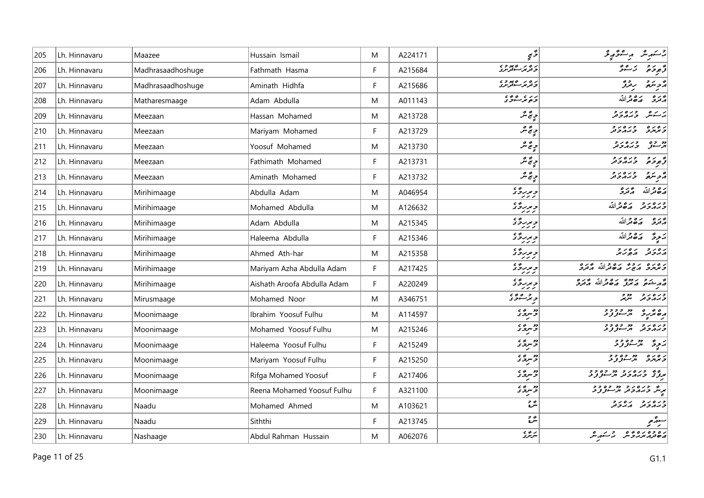| 205 | Lh. Hinnavaru | Maazee            | Hussain Ismail              | M           | A224171 | رحمي                                          | و سکه شر می شرکته د                                    |
|-----|---------------|-------------------|-----------------------------|-------------|---------|-----------------------------------------------|--------------------------------------------------------|
| 206 | Lh. Hinnavaru | Madhrasaadhoshuge | Fathmath Hasma              | F           | A215684 | ر ٥ ر پر ۶ د ٥<br>۶ د ترسگ <sup>5</sup> ترىرى | توجدة والمستر                                          |
| 207 | Lh. Hinnavaru | Madhrasaadhoshuge | Aminath Hidhfa              | F           | A215686 | ر ہ ر بے یو و ،<br>ترتریز سگوترین             | أأروسكو الروقر                                         |
| 208 | Lh. Hinnavaru | Matharesmaage     | Adam Abdulla                | M           | A011143 | ر ر ، ر ه » ،<br>وه پر سوو د                  | وترة وكافرالله                                         |
| 209 | Lh. Hinnavaru | Meezaan           | Hassan Mohamed              | M           | A213728 | احبة عمر                                      | يركسش وبره برو                                         |
| 210 | Lh. Hinnavaru | Meezaan           | Mariyam Mohamed             | F.          | A213729 | حەيچ يىر                                      | و ره ر و<br>تر پر ژنر<br>ر ه ر ه<br><del>د</del> بربرد |
| 211 | Lh. Hinnavaru | Meezaan           | Yoosuf Mohamed              | M           | A213730 | حەيچ يىر                                      | و ره ر و<br>تر پر ژنر<br>در حره                        |
| 212 | Lh. Hinnavaru | Meezaan           | Fathimath Mohamed           | F           | A213731 | حەيچ يىگە                                     | و ده دره در                                            |
| 213 | Lh. Hinnavaru | Meezaan           | Aminath Mohamed             | F           | A213732 | حي تيمبر                                      | ه د د دره در<br>مرد شهر د در د                         |
| 214 | Lh. Hinnavaru | Mirihimaage       | Abdulla Adam                | M           | A046954 | او بوروی<br>اب                                | مَدْهِ مَرْ اللّهِ مَحْ مَرْ مَرْ                      |
| 215 | Lh. Hinnavaru | Mirihimaage       | Mohamed Abdulla             | M           | A126632 | د برر دی<br>ر ر ر                             | وره رو ده دالله                                        |
| 216 | Lh. Hinnavaru | Mirihimaage       | Adam Abdulla                | M           | A215345 | د برر د و<br>  د برر د و                      | وتره وكامرالله                                         |
| 217 | Lh. Hinnavaru | Mirihimaage       | Haleema Abdulla             | F.          | A215346 | او بور وي<br>اب                               | برَحِيقٌ بَرَصْعَرْاللَّهُ                             |
| 218 | Lh. Hinnavaru | Mirihimaage       | Ahmed Ath-har               | M           | A215358 | د برر دی<br>ربر ر                             | ره رو ره رو                                            |
| 219 | Lh. Hinnavaru | Mirihimaage       | Mariyam Azha Abdulla Adam   | F.          | A217425 | او بور و ځ<br><u>د ر</u>                      | ره ره روی ره دالله وره                                 |
| 220 | Lh. Hinnavaru | Mirihimaage       | Aishath Aroofa Abdulla Adam | F           | A220249 | و بور دی<br>ر ر ر                             | م مشوم معزى مصرالله معره                               |
| 221 | Lh. Hinnavaru | Mirusmaage        | Mohamed Noor                | M           | A346751 | د بر ۱۵۵۵<br>د بر سود د                       | כנסני כבר<br>כגולכני ייטול                             |
| 222 | Lh. Hinnavaru | Moonimaage        | Ibrahim Yoosuf Fulhu        | M           | A114597 | وه سرچ ی<br>حس                                | ره پژره در دود.<br>د هنگرد در دور                      |
| 223 | Lh. Hinnavaru | Moonimaage        | Mohamed Yoosuf Fulhu        | M           | A215246 | יי<br>קייקבצ                                  | כנסנכ מ- כסככ<br><i>כג</i> תכת ת—נצע                   |
| 224 | Lh. Hinnavaru | Moonimaage        | Haleema Yoosuf Fulhu        | $\mathsf F$ | A215249 | دو سرچ ی<br>حر سرچ <sub>ک</sub>               | پروژه در ده دور<br>  پروژه در سورون                    |
| 225 | Lh. Hinnavaru | Moonimaage        | Mariyam Yoosuf Fulhu        | F.          | A215250 | חי<br>ב"יקב"ב                                 | ره ره دو وه وه<br>د بربرد الرسوتوتون                   |
| 226 | Lh. Hinnavaru | Moonimaage        | Rifga Mohamed Yoosuf        | F.          | A217406 | دو په په<br>د سرچر                            |                                                        |
| 227 | Lh. Hinnavaru | Moonimaage        | Reena Mohamed Yoosuf Fulhu  | F           | A321100 | دد په په<br>د سرچ د                           | <br>  پرسگ و بر مرو تر افزایل در مرو و و               |
| 228 | Lh. Hinnavaru | Naadu             | Mohamed Ahmed               | M           | A103621 | ىترىج                                         | כנסנכ נסנכ<br>כגמכנג הגבנג                             |
| 229 | Lh. Hinnavaru | Naadu             | Siththi                     | F           | A213745 | ىتىڭ                                          | سروع                                                   |
| 230 | Lh. Hinnavaru | Nashaage          | Abdul Rahman Hussain        | M           | A062076 | ىر بە ي<br>سۈيۈى                              |                                                        |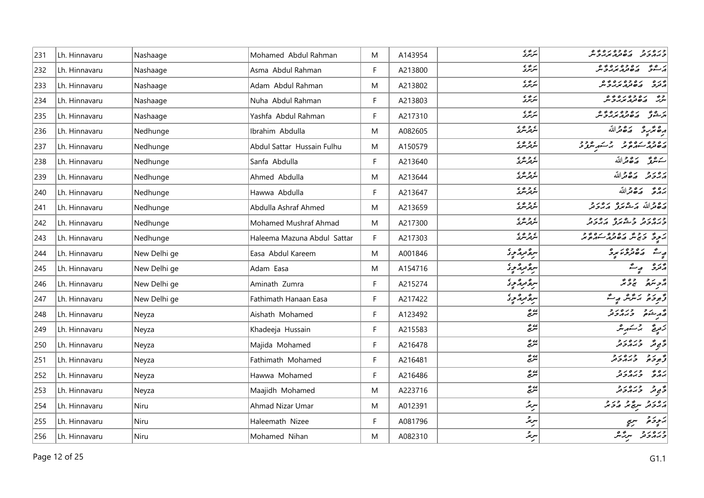| 231 | Lh. Hinnavaru | Nashaage     | Mohamed Abdul Rahman        | M         | A143954 | ر و ،<br>سربری                 | כנסנכ נסכסנסקס<br>כגמכנה משנמינגלית                   |
|-----|---------------|--------------|-----------------------------|-----------|---------|--------------------------------|-------------------------------------------------------|
| 232 | Lh. Hinnavaru | Nashaage     | Asma Abdul Rahman           | F         | A213800 | ر پر ہ<br>سربری                | ر ه و ه د ه د ه<br>پره تر بربر تر س<br>رَائەتە        |
| 233 | Lh. Hinnavaru | Nashaage     | Adam Abdul Rahman           | M         | A213802 | ر پر ہ<br>سربری                | ر ه د ه ر ه د ه<br>پره تر پر برگر<br>یور ہ<br>مرکزو   |
| 234 | Lh. Hinnavaru | Nashaage     | Nuha Abdul Rahman           | F         | A213803 | ر و ،<br>سربری                 | ر ه و ه د ه د ه<br>پره تربر تر س<br>سریر<br>سربر      |
| 235 | Lh. Hinnavaru | Nashaage     | Yashfa Abdul Rahman         | F.        | A217310 | ر و ،<br>سربری                 | ره وه ره د ه<br>پره تربر تر تر<br>ېز شوتژ             |
| 236 | Lh. Hinnavaru | Nedhunge     | Ibrahim Abdulla             | M         | A082605 | ے و ه ۽<br>سرپرسر <sub>ک</sub> | مرە ئرىرى ئەھىراللە                                   |
| 237 | Lh. Hinnavaru | Nedhunge     | Abdul Sattar Hussain Fulhu  | M         | A150579 | ے و ہ ۽<br>سربرسر              |                                                       |
| 238 | Lh. Hinnavaru | Nedhunge     | Sanfa Abdulla               | F         | A213640 | ے و ہ ے<br>سربرسری             | سكسر وكالله                                           |
| 239 | Lh. Hinnavaru | Nedhunge     | Ahmed Abdulla               | M         | A213644 | ے و ہ ۽<br>سربرسر              | برەرد برە دالله                                       |
| 240 | Lh. Hinnavaru | Nedhunge     | Hawwa Abdulla               | F.        | A213647 | ے و ه ۽<br>سرپرسر <sub>ک</sub> | بروء بره قرالله                                       |
| 241 | Lh. Hinnavaru | Nedhunge     | Abdulla Ashraf Ahmed        | M         | A213659 | ے و ه ۽<br>سرپرسر <sub>ک</sub> | رە قراللە مەشىرى بەر د                                |
| 242 | Lh. Hinnavaru | Nedhunge     | Mohamed Mushraf Ahmad       | M         | A217300 | ء و ه ۽<br>سرپرسر              | وره رو و وره ره رو<br><i>وب</i> رمرونر و شوبرز مبرونر |
| 243 | Lh. Hinnavaru | Nedhunge     | Haleema Mazuna Abdul Sattar | F         | A217303 | ے و ه ۽<br>سرپرسر              | ג פי גרפי גם כם גם פי כ                               |
| 244 | Lh. Hinnavaru | New Delhi ge | Easa Abdul Kareem           | M         | A001846 | سره مرمر مر ځ                  |                                                       |
| 245 | Lh. Hinnavaru | New Delhi ge | Adam Easa                   | M         | A154716 | سره مره مو ء<br>سره مر         | وره په ش                                              |
| 246 | Lh. Hinnavaru | New Delhi ge | Aminath Zumra               | F         | A215274 | ە ھەمەھرى<br>ئەسرە مەم         | ړ ده ده پر                                            |
| 247 | Lh. Hinnavaru | New Delhi ge | Fathimath Hanaan Easa       | F.        | A217422 | سره مره موء                    | قەم ئەنگە مەت                                         |
| 248 | Lh. Hinnavaru | Neyza        | Aishath Mohamed             | F         | A123492 | ير بر<br>سرچ                   | ه دره دره دره<br>مگرشوه وبردونر                       |
| 249 | Lh. Hinnavaru | Neyza        | Khadeeja Hussain            | F.        | A215583 | سمج                            | تزمريق   برستمبر بنز                                  |
| 250 | Lh. Hinnavaru | Neyza        | Majida Mohamed              | F.        | A216478 | سمج                            | و رە ر د<br><i>د ب</i> رگەنز<br>وَّمْحِ مَّرُ         |
| 251 | Lh. Hinnavaru | Neyza        | Fathimath Mohamed           | F.        | A216481 | سرچ                            | قروح وبره دو                                          |
| 252 | Lh. Hinnavaru | Neyza        | Hawwa Mohamed               | F         | A216486 | سمج                            | رەپچ<br>برگر<br>و ره ر د<br>تر پر ژنر                 |
| 253 | Lh. Hinnavaru | Neyza        | Maajidh Mohamed             | M         | A223716 | تتويج                          | و دره دره د                                           |
| 254 | Lh. Hinnavaru | Niru         | Ahmad Nizar Umar            | ${\sf M}$ | A012391 | سریز                           | גפגב תשיב בגב                                         |
| 255 | Lh. Hinnavaru | Niru         | Haleemath Nizee             | F.        | A081796 | سرچر                           | بزموقرة                                               |
| 256 | Lh. Hinnavaru | Niru         | Mohamed Nihan               | M         | A082310 | سرچر                           | ورەرو سەھ                                             |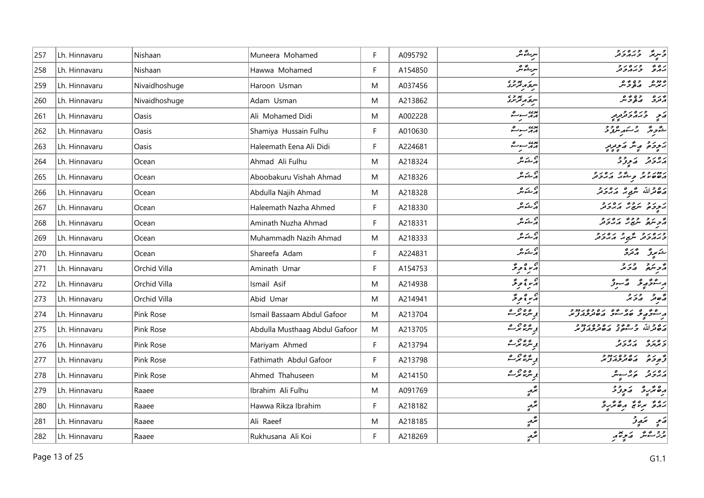| 257 | Lh. Hinnavaru | Nishaan          | Muneera Mohamed               | F         | A095792 | سرىشەش                                                  | و ره ر د<br>تر پر ژمر<br> 3سرپر                                          |
|-----|---------------|------------------|-------------------------------|-----------|---------|---------------------------------------------------------|--------------------------------------------------------------------------|
| 258 | Lh. Hinnavaru | Nishaan          | Hawwa Mohamed                 | F         | A154850 | سرىشەشر                                                 | ر ه پ<br>بر د څ<br>و ره ر و<br><i>و پر</i> و تر                          |
| 259 | Lh. Hinnavaru | Nivaidhoshuge    | Haroon Usman                  | ${\sf M}$ | A037456 | سرعه مرقر پر د ،<br>سرعه مرقر پر د                      | ودوه وه وه                                                               |
| 260 | Lh. Hinnavaru | Nivaidhoshuge    | Adam Usman                    | M         | A213862 | سر تحریر در جا<br>سرچ پر فرسری                          | وره ده وه.                                                               |
| 261 | Lh. Hinnavaru | Oasis            | Ali Mohamed Didi              | M         | A002228 | جزيمي سه رهم                                            |                                                                          |
| 262 | Lh. Hinnavaru | Oasis            | Shamiya Hussain Fulhu         | F         | A010630 | لحقيق سومشر                                             | شورة بالتمريد                                                            |
| 263 | Lh. Hinnavaru | Oasis            | Haleemath Eena Ali Didi       | F         | A224681 | پرچم سوم                                                | پَهِ پَرَ پَرَ پَهِ پِرِ پِرِ پِرِ                                       |
| 264 | Lh. Hinnavaru | Ocean            | Ahmad Ali Fulhu               | ${\sf M}$ | A218324 | رمەيەتىر                                                | دەرو كەيدۇر                                                              |
| 265 | Lh. Hinnavaru | Ocean            | Aboobakuru Vishah Ahmad       | ${\sf M}$ | A218326 | ە ئەيە ئەيە<br>مەسىئە مىر                               | 101010 و 1010101                                                         |
| 266 | Lh. Hinnavaru | Ocean            | Abdulla Najih Ahmad           | M         | A218328 | ج پەئە يىر<br>م                                         | رە داللە ئىگە ئەرەرد                                                     |
| 267 | Lh. Hinnavaru | Ocean            | Haleemath Nazha Ahmed         | F         | A218330 | م<br>مرڪبر                                              | بر دو دوه ده دورو                                                        |
| 268 | Lh. Hinnavaru | Ocean            | Aminath Nuzha Ahmad           | F         | A218331 | رمەيەتىر                                                | أثر مرد دود دره در                                                       |
| 269 | Lh. Hinnavaru | Ocean            | Muhammadh Nazih Ahmad         | M         | A218333 | م<br>مرڪبر                                              | ورورو محرو رورو                                                          |
| 270 | Lh. Hinnavaru | Ocean            | Shareefa Adam                 | F         | A224831 | ج ث محمد مثر<br>مر                                      | شەبرۇ مەترۈ                                                              |
| 271 | Lh. Hinnavaru | Orchid Villa     | Aminath Umar                  | F         | A154753 | ېر په عوم <b>ت</b> ر                                    | أوجا مترام المرامز                                                       |
| 272 | Lh. Hinnavaru | Orchid Villa     | Ismail Asif                   | ${\sf M}$ | A214938 | ەر بە ئوقر                                              | ويسترخم ومسوق                                                            |
| 273 | Lh. Hinnavaru | Orchid Villa     | Abid Umar                     | M         | A214941 | لأسوء وقر                                               | 2 גי 2 גי                                                                |
| 274 | Lh. Hinnavaru | Pink Rose        | Ismail Bassaam Abdul Gafoor   | M         | A213704 | ارپرېږچى                                                | an 102010401020101010101                                                 |
| 275 | Lh. Hinnavaru | Pink Rose        | Abdulla Musthaag Abdul Gafoor | M         | A213705 | إربير يوجيه                                             | ره والله تحریح و ره وه بردو د<br>هر همرالله تحر سورتی هر هم مرحر در و سر |
| 276 | Lh. Hinnavaru | Pink Rose        | Mariyam Ahmed                 | F         | A213794 | و م <sup>م</sup> ر مرگ م                                | נפנס נפנד.<br>כינו <i>נ</i> כ הנכנ                                       |
| 277 | Lh. Hinnavaru | <b>Pink Rose</b> | Fathimath Abdul Gafoor        | F         | A213798 | ويروعيه                                                 | و د د ده ده ده د                                                         |
| 278 | Lh. Hinnavaru | Pink Rose        | Ahmed Thahuseen               | ${\sf M}$ | A214150 | ابو پېژندنکه                                            | رەرد رەب                                                                 |
| 279 | Lh. Hinnavaru | Raaee            | Ibrahim Ali Fulhu             | ${\sf M}$ | A091769 | پر<br>برمړ                                              | رە ئۆر ئەردى                                                             |
| 280 | Lh. Hinnavaru | Raaee            | Hawwa Rikza Ibrahim           | F         | A218182 | پر<br>پر                                                |                                                                          |
| 281 | Lh. Hinnavaru | Raaee            | Ali Raeef                     | M         | A218185 | $\begin{bmatrix} 1 & 1 \\ 1 & 1 \\ 1 & 1 \end{bmatrix}$ | أوسم التزمر وحمر                                                         |
| 282 | Lh. Hinnavaru | Raaee            | Rukhusana Ali Koi             | F         | A218269 | پر<br>برمړ                                              | برزشش مزبته                                                              |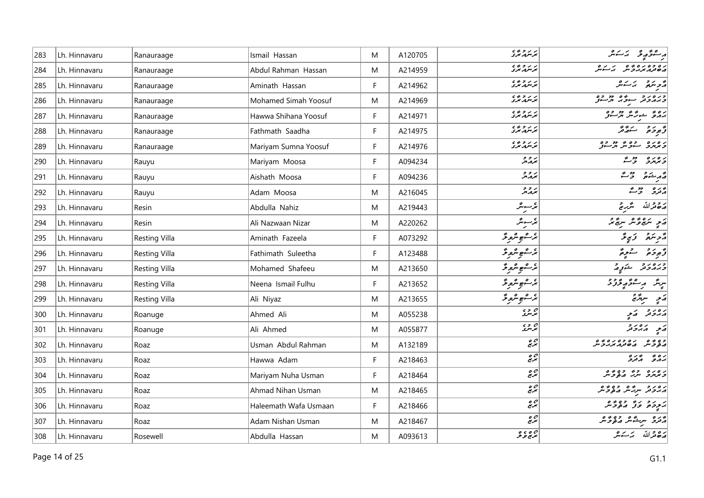| 283 | Lh. Hinnavaru | Ranauraage           | Ismail Hassan         | M         | A120705 | ر ر د » ،<br>برس پر بر   | رىقۇر ئەسكىر                                 |
|-----|---------------|----------------------|-----------------------|-----------|---------|--------------------------|----------------------------------------------|
| 284 | Lh. Hinnavaru | Ranauraage           | Abdul Rahman Hassan   | ${\sf M}$ | A214959 | ر ر د و و ،<br>برسمه برد | رە دەبرە بەر بەر بو                          |
| 285 | Lh. Hinnavaru | Ranauraage           | Aminath Hassan        | F         | A214962 | ر ر د و و ،<br>برسمه برد | أترج سترتم بمسكر تكر                         |
| 286 | Lh. Hinnavaru | Ranauraage           | Mohamed Simah Yoosuf  | M         | A214969 | ر ر د و و ،<br>برسمه برد | כנים גיב הבים ידי בם<br>המהבת היבמי תייית    |
| 287 | Lh. Hinnavaru | Ranauraage           | Hawwa Shihana Yoosuf  | F         | A214971 | ر ر د » ،<br>برس پر بر   | ره و مشر شده دو وه<br>بروغ مشرکش در سور      |
| 288 | Lh. Hinnavaru | Ranauraage           | Fathmath Saadha       | F         | A214975 | ر ر د » ،<br>برس پر بر   | و ده سره و                                   |
| 289 | Lh. Hinnavaru | Ranauraage           | Mariyam Sumna Yoosuf  | F         | A214976 |                          | ره ره ده وه په دو وه<br>د پرېرو سوونتر برسون |
| 290 | Lh. Hinnavaru | Rauyu                | Mariyam Moosa         | F         | A094234 | ر و و<br>برد در          | د ه ده در م                                  |
| 291 | Lh. Hinnavaru | Rauyu                | Aishath Moosa         | F         | A094236 | ر و و<br>برد در          |                                              |
| 292 | Lh. Hinnavaru | Rauyu                | Adam Moosa            | ${\sf M}$ | A216045 | ر و و<br>برد در          | أيره دورمج                                   |
| 293 | Lh. Hinnavaru | Resin                | Abdulla Nahiz         | M         | A219443 | ترسه شر                  | أصفاه مترسين                                 |
| 294 | Lh. Hinnavaru | Resin                | Ali Nazwaan Nizar     | M         | A220262 | ترسه شر                  | ړَپه سَرچو شرح سرچ تر                        |
| 295 | Lh. Hinnavaru | Resting Villa        | Aminath Fazeela       | F         | A073292 | بزر مصطر برهوقر          | ړٌ دِ سَرَهٌ کَ کَمِ دُّ                     |
| 296 | Lh. Hinnavaru | <b>Resting Villa</b> | Fathimath Suleetha    | F         | A123488 | بزر مصح مروقر            | أزّودَه سنوهُ                                |
| 297 | Lh. Hinnavaru | <b>Resting Villa</b> | Mohamed Shafeeu       | M         | A213650 | بزر مصطر بحريحه          | ورەرو شرور                                   |
| 298 | Lh. Hinnavaru | <b>Resting Villa</b> | Neena Ismail Fulhu    | F         | A213652 | بمشاه شرمرتمر            |                                              |
| 299 | Lh. Hinnavaru | Resting Villa        | Ali Niyaz             | ${\sf M}$ | A213655 | بمشاه عره محرقحه         |                                              |
| 300 | Lh. Hinnavaru | Roanuge              | Ahmed Ali             | M         | A055238 | ە د ،<br>ئىرسرى          | رەر دىپ                                      |
| 301 | Lh. Hinnavaru | Roanuge              | Ali Ahmed             | M         | A055877 | ە د ،<br>ئىرسرى          | أقدم المردور                                 |
| 302 | Lh. Hinnavaru | Roaz                 | Usman Abdul Rahman    | M         | A132189 | جرج                      | כסמם נסכםנסמם<br>הפכית השינה-בבית            |
| 303 | Lh. Hinnavaru | Roaz                 | Hawwa Adam            | F         | A218463 | جرج                      | رە پەرە<br>بەيرى تەترى                       |
| 304 | Lh. Hinnavaru | Roaz                 | Mariyam Nuha Usman    | F         | A218464 | جرج                      | ر ه ره د د د و ده                            |
| 305 | Lh. Hinnavaru | Roaz                 | Ahmad Nihan Usman     | ${\sf M}$ | A218465 | جرج                      | ره د د سره ده ده ده.<br>مردوند سردس ماموش    |
| 306 | Lh. Hinnavaru | Roaz                 | Haleemath Wafa Usmaan | F         | A218466 | جرج                      | برود د دووه.                                 |
| 307 | Lh. Hinnavaru | Roaz                 | Adam Nishan Usman     | ${\sf M}$ | A218467 | $\overline{\mathcal{E}}$ | وره سرشر مهرومو<br>معرو سرشر مهروس           |
| 308 | Lh. Hinnavaru | Rosewell             | Abdulla Hassan        | M         | A093613 | 0 و ء ە<br>مربع توم      | رە قراللە كەسكە                              |
|     |               |                      |                       |           |         |                          |                                              |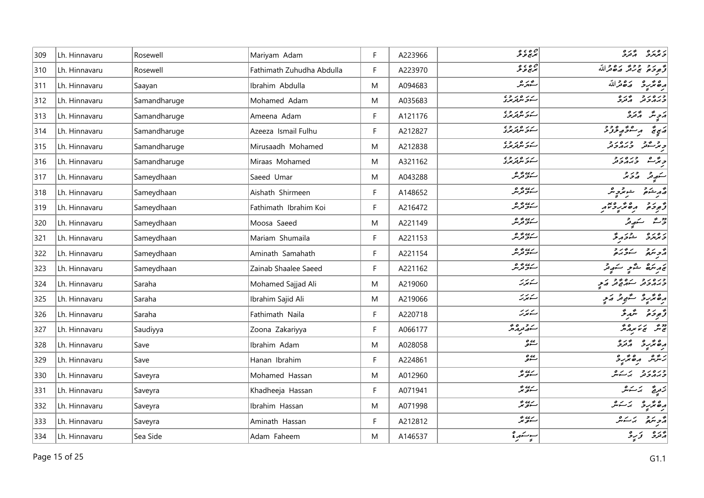| 309 | Lh. Hinnavaru | Rosewell     | Mariyam Adam              | F  | A223966 | ص ح ح ح<br>  سرج حر څر                        | נים נים ניים בינים.<br>כי <i>ניתי</i> פי הני <i>ני</i> פי |
|-----|---------------|--------------|---------------------------|----|---------|-----------------------------------------------|-----------------------------------------------------------|
| 310 | Lh. Hinnavaru | Rosewell     | Fathimath Zuhudha Abdulla | F. | A223970 | ە ە ە ە<br>ئىرىنى بوگ                         | و برد دوم بره دالله                                       |
| 311 | Lh. Hinnavaru | Saayan       | Ibrahim Abdulla           | M  | A094683 | شەپرىش                                        | مەھەر مەھەراللە                                           |
| 312 | Lh. Hinnavaru | Samandharuge | Mohamed Adam              | M  | A035683 | ے پر ۱۵ پر وی<br>سکو سرفرمر <sub>ی</sub>      | כנסנכ בנס                                                 |
| 313 | Lh. Hinnavaru | Samandharuge | Ameena Adam               | F. | A121176 | ے پر 2 پر 2 پ                                 | ړَ پر ډېره                                                |
| 314 | Lh. Hinnavaru | Samandharuge | Azeeza Ismail Fulhu       | F  | A212827 | ے پر 2 پر 2 پ                                 | دي په موځودون                                             |
| 315 | Lh. Hinnavaru | Samandharuge | Mirusaadh Mohamed         | M  | A212838 | ے پر 2 پر 2 پ                                 | و برگشتر وره د و.<br>و برگشتر و برماونتر                  |
| 316 | Lh. Hinnavaru | Samandharuge | Miraas Mohamed            | M  | A321162 | ے پر 2 پر 2 پر<br>سنگ سرفر مر <sub>ک</sub>    | و ره ر و<br>د <i>ر</i> د رور<br>حە ئىر شە                 |
| 317 | Lh. Hinnavaru | Sameydhaan   | Saeed Umar                | M  | A043288 | رىيە بە ھ                                     | سكهاش المركاش                                             |
| 318 | Lh. Hinnavaru | Sameydhaan   | Aishath Shirmeen          | F. | A148652 | ر <sup>دی</sup> جر ہ<br>سے <del>و</del> فرمنز | و<br>د د شوځ شومرچ ش                                      |
| 319 | Lh. Hinnavaru | Sameydhaan   | Fathimath Ibrahim Koi     | F. | A216472 | ر پره پر <i>ه</i>                             | ژوده مره ژردند                                            |
| 320 | Lh. Hinnavaru | Sameydhaan   | Moosa Saeed               | M  | A221149 | رى <i>، بۇ</i> ھ                              | در میں مقبر میں تقریبات<br>مریضہ                          |
| 321 | Lh. Hinnavaru | Sameydhaan   | Mariam Shumaila           | F  | A221153 | رىيە بە ھ                                     | رەرە شەر                                                  |
| 322 | Lh. Hinnavaru | Sameydhaan   | Aminath Samahath          | F  | A221154 | ر <i>ء، ۽ ه</i>                               | و ده سود و                                                |
| 323 | Lh. Hinnavaru | Sameydhaan   | Zainab Shaalee Saeed      | F  | A221162 | ر پره پر <i>ه</i>                             | كمرسك مشمو سكريثر                                         |
| 324 | Lh. Hinnavaru | Saraha       | Mohamed Sajjad Ali        | M  | A219060 | ستعترت                                        | وره رو ره بود کرد                                         |
| 325 | Lh. Hinnavaru | Saraha       | Ibrahim Sajid Ali         | M  | A219066 | سەپەر                                         | رەندېر ئۇير كې                                            |
| 326 | Lh. Hinnavaru | Saraha       | Fathimath Naila           | F. | A220718 | سەپىر                                         | دًّءٍ دَءٌ سَمَدٍ دَ                                      |
| 327 | Lh. Hinnavaru | Saudiyya     | Zoona Zakariyya           | F. | A066177 | سەھە تېرەر بىر                                | ה היו היו                                                 |
| 328 | Lh. Hinnavaru | Save         | Ibrahim Adam              | M  | A028058 | ے ہ                                           | ەردە<br>دەندىر                                            |
| 329 | Lh. Hinnavaru | Save         | Hanan Ibrahim             | F  | A224861 | ىدە                                           | ر پڑ میں مقدرت                                            |
| 330 | Lh. Hinnavaru | Saveyra      | Mohamed Hassan            | M  | A012960 | ر ،، پ<br>سوء س                               | ورەرو پەسەش                                               |
| 331 | Lh. Hinnavaru | Saveyra      | Khadheeja Hassan          | F  | A071941 | رى پۇ                                         | ترىرى <i>غ بەسكى</i> ر                                    |
| 332 | Lh. Hinnavaru | Saveyra      | Ibrahim Hassan            | M  | A071998 | ر ، ، »<br>ستوخ س                             | رەپزىر بىسكى                                              |
| 333 | Lh. Hinnavaru | Saveyra      | Aminath Hassan            | F. | A212812 | ر پر پر<br>سوه بو                             | أأرمز<br>پر سەيىر                                         |
| 334 | Lh. Hinnavaru | Sea Side     | Adam Faheem               | M  | A146537 | سەسە ئەرى<br>ئ                                | أترترج وكرده                                              |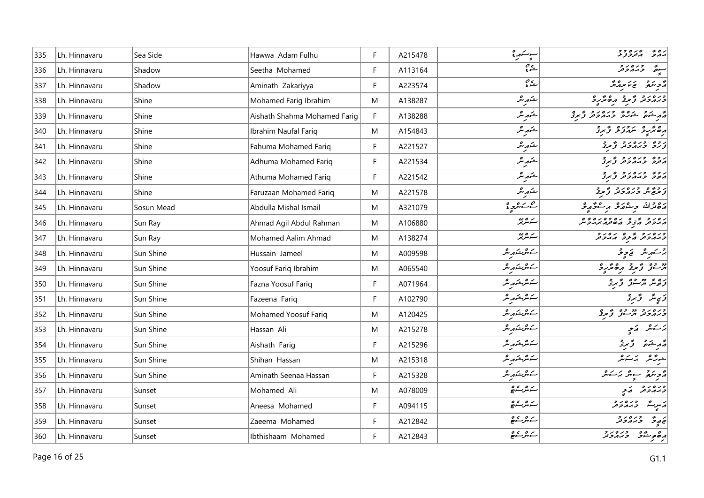| 335 | Lh. Hinnavaru | Sea Side   | Hawwa Adam Fulhu             | F         | A215478 | $\overline{\mathcal{E}}$                             | י 20 בי 2010<br>החיפ הבקביב                                                                                                                                                                                                      |
|-----|---------------|------------|------------------------------|-----------|---------|------------------------------------------------------|----------------------------------------------------------------------------------------------------------------------------------------------------------------------------------------------------------------------------------|
| 336 | Lh. Hinnavaru | Shadow     | Seetha Mohamed               | F         | A113164 | يثجمج                                                | ده دره د د                                                                                                                                                                                                                       |
| 337 | Lh. Hinnavaru | Shadow     | Aminath Zakariyya            | F         | A223574 | $\overline{\mathcal{C}_{\mathcal{L}}^{\mathcal{L}}}$ | הכתב גדורה                                                                                                                                                                                                                       |
| 338 | Lh. Hinnavaru | Shine      | Mohamed Farig Ibrahim        | M         | A138287 | ڪوپر                                                 | ورەرو ئېرتى مەھكرو                                                                                                                                                                                                               |
| 339 | Lh. Hinnavaru | Shine      | Aishath Shahma Mohamed Farig | F         | A138288 | ڪوپر                                                 | ه درو ده به دره دو و و<br>پهرشوي شورو وبربروتر و برد                                                                                                                                                                             |
| 340 | Lh. Hinnavaru | Shine      | Ibrahim Naufal Fariq         | M         | A154843 | ڪوپر                                                 | رەپرىي سەزرو ۋىرق                                                                                                                                                                                                                |
| 341 | Lh. Hinnavaru | Shine      | Fahuma Mohamed Fariq         | F         | A221527 | ڪورير                                                | ر و د وره رو و در                                                                                                                                                                                                                |
| 342 | Lh. Hinnavaru | Shine      | Adhuma Mohamed Farig         | F         | A221534 | ڪورىگر                                               | ر و به وره رو به و<br>مسترد کریم و گرم                                                                                                                                                                                           |
| 343 | Lh. Hinnavaru | Shine      | Athuma Mohamed Fariq         | F         | A221542 | ڪوپر                                                 | روه وره رو و د                                                                                                                                                                                                                   |
| 344 | Lh. Hinnavaru | Shine      | Faruzaan Mohamed Fariq       | M         | A221578 | شەربىر                                               | ر ده و دره رد و گردد                                                                                                                                                                                                             |
| 345 | Lh. Hinnavaru | Sosun Mead | Abdulla Mishal Ismail        | M         | A321079 | بشر سروي                                             | رە داللە جەھەنجە مەسىئەر بو                                                                                                                                                                                                      |
| 346 | Lh. Hinnavaru | Sun Ray    | Ahmad Agil Abdul Rahman      | M         | A106880 | سەمىرىپىر                                            | ג 2000 ביציב הסיפה הפים.<br>ההכת הציב הסיקה ההכית                                                                                                                                                                                |
| 347 | Lh. Hinnavaru | Sun Ray    | Mohamed Aalim Ahmad          | M         | A138274 | سەمىرىپىر                                            | ورەر د د و رەر د                                                                                                                                                                                                                 |
| 348 | Lh. Hinnavaru | Sun Shine  | Hussain Jameel               | M         | A009598 | سەھرىشە <sub>مە</sub> بىر                            | يزحكم تواليم والمحارية                                                                                                                                                                                                           |
| 349 | Lh. Hinnavaru | Sun Shine  | Yoosuf Fariq Ibrahim         | M         | A065540 | سەنى <i>رىشەم</i> رى <i>ن</i> ر                      | ר בפר הוב הסתוב                                                                                                                                                                                                                  |
| 350 | Lh. Hinnavaru | Sun Shine  | Fazna Yoosuf Fariq           | F         | A071964 | ر<br>سەنگە شەمەر بىر                                 | رەپر «رومۇ ئ <sub>ەترى</sub> ج                                                                                                                                                                                                   |
| 351 | Lh. Hinnavaru | Sun Shine  | Fazeena Fariq                | F         | A102790 | سەن <i>ىرى ھەر</i> بىر                               | أقامي مثر اقرمرتى                                                                                                                                                                                                                |
| 352 | Lh. Hinnavaru | Sun Shine  | Mohamed Yoosuf Fariq         | M         | A120425 | <br> سەنئىرىشىرىش                                    | وره رو دو وه<br>د بر بر بر سول گرمرنی                                                                                                                                                                                            |
| 353 | Lh. Hinnavaru | Sun Shine  | Hassan Ali                   | M         | A215278 | ر<br>سەنگە شەمەر بىر                                 | ير سكان الكاملي                                                                                                                                                                                                                  |
| 354 | Lh. Hinnavaru | Sun Shine  | Aishath Farig                | F         | A215296 | سەن <sub>ى</sub> رىشە <sub>مە</sub> بىر              | و مشتر و محمدة المحمدة المحمدة المحمدة المحمدة بن المحمدة المحمدة المحمدة المحمدة المحمدة المحمدة المحمدة المح<br>المحمدة المحمدة المحمدة المحمدة المحمدة المحمدة المحمدة المحمدة المحمدة المحمدة المحمدة المحمدة المحمدة المحمد |
| 355 | Lh. Hinnavaru | Sun Shine  | Shihan Hassan                | ${\sf M}$ | A215318 | سەن <sub>ى</sub> رىشە <sub>مە</sub> سىر              | جارحهن الإسكانس                                                                                                                                                                                                                  |
| 356 | Lh. Hinnavaru | Sun Shine  | Aminath Seenaa Hassan        | F         | A215328 | سەن <i>ىرى ھەر</i> بىر                               | أأترجع سويتر برسونته                                                                                                                                                                                                             |
| 357 | Lh. Hinnavaru | Sunset     | Mohamed Ali                  | ${\sf M}$ | A078009 | سەمەر يەھ                                            |                                                                                                                                                                                                                                  |
| 358 | Lh. Hinnavaru | Sunset     | Aneesa Mohamed               | F         | A094115 | ے م <i>رد ع</i> م                                    | أرسرت وره دو                                                                                                                                                                                                                     |
| 359 | Lh. Hinnavaru | Sunset     | Zaeema Mohamed               | F         | A212842 | سەمەر يەھ                                            | ر<br>بح مر <sup>3</sup><br>و رە ر د<br>تر پر پر تر                                                                                                                                                                               |
| 360 | Lh. Hinnavaru | Sunset     | Ibthishaam Mohamed           | F         | A212843 | ے م <i>رے م</i>                                      | دهم شوه وره د                                                                                                                                                                                                                    |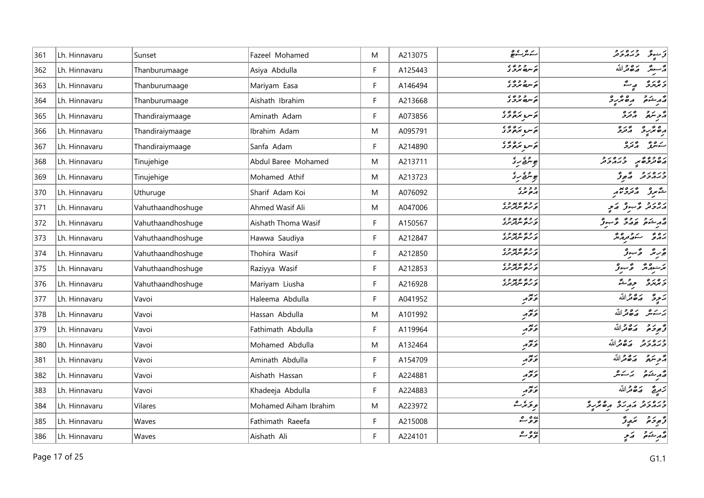| 361 | Lh. Hinnavaru | Sunset            | Fazeel Mohamed        | M  | A213075 | ر پە ئەر يە ھ                            | و ره ر د<br>ح پر د تر<br>  تۇسىپىۋ                   |
|-----|---------------|-------------------|-----------------------|----|---------|------------------------------------------|------------------------------------------------------|
| 362 | Lh. Hinnavaru | Thanburumaage     | Asiya Abdulla         | F  | A125443 | ر د د د و.<br>می سرچار د                 | پر<br>مرگ سودگر<br>مَە قىراللّه                      |
| 363 | Lh. Hinnavaru | Thanburumaage     | Mariyam Easa          | F  | A146494 | ر د د د و د<br>می سرحه بر <del>ر</del> د | ر ه ر ه<br>پر شخ                                     |
| 364 | Lh. Hinnavaru | Thanburumaage     | Aishath Ibrahim       | F. | A213668 | ر<br>می سرچ مرد د                        | پر<br>پر پر شو <sub>خ</sub><br>مەھترىرى              |
| 365 | Lh. Hinnavaru | Thandiraiymaage   | Aminath Adam          | F  | A073856 | ائم سع ئىۋودى<br>—                       | پ <sup>ر</sup> جه سره<br>مرجع شهر<br>پەر ە<br>مەنىرۈ |
| 366 | Lh. Hinnavaru | Thandiraiymaage   | Ibrahim Adam          | M  | A095791 | ەسىدە بەر                                | ە ھەترىر <sup>ە</sup><br>پەر ە<br>مەنىرى             |
| 367 | Lh. Hinnavaru | Thandiraiymaage   | Sanfa Adam            | F  | A214890 | اير سو بره د د ،<br>او سو برو د د        | سەھەتىر<br>پور ہ<br>مرکزو                            |
| 368 | Lh. Hinnavaru | Tinujehige        | Abdul Baree Mohamed   | M  | A213711 | ج سرقي سر ک                              | נפכפי כנסיכי<br>הסתכ <i>סי</i> כנהכת                 |
| 369 | Lh. Hinnavaru | Tinujehige        | Mohamed Athif         | M  | A213723 | ھ سرچ ري                                 | وره دو و و                                           |
| 370 | Lh. Hinnavaru | Uthuruge          | Sharif Adam Koi       | M  | A076092 | د د د د<br>مرح برد                       | مشمرو<br>پر ہ سر<br>مرکز <i>و</i> ر                  |
| 371 | Lh. Hinnavaru | Vahuthaandhoshuge | Ahmed Wasif Ali       | M  | A047006 | ر و ده ه پر و ،<br>و ره سربر در          | أرور و و سور أمو                                     |
| 372 | Lh. Hinnavaru | Vahuthaandhoshuge | Aishath Thoma Wasif   | F. | A150567 | ر و ده ه پر و ،<br>و ره سربر در          | و دور دوره و در و                                    |
| 373 | Lh. Hinnavaru | Vahuthaandhoshuge | Hawwa Saudiya         | F  | A212847 | ر و ده ه پر و ،<br>و ره سربر در          | גם זה הכתבת                                          |
| 374 | Lh. Hinnavaru | Vahuthaandhoshuge | Thohira Wasif         | F  | A212850 | ر و ده ه پر و ،<br>و ره سربر در          | ە ئەرىئە ئەسىرى                                      |
| 375 | Lh. Hinnavaru | Vahuthaandhoshuge | Raziyya Wasif         | F  | A212853 | ر و د ه پر و ،<br>و ره سربر در           | ىر سەھەر<br>ئىر سىمەرىر<br>ۇ سىز                     |
| 376 | Lh. Hinnavaru | Vahuthaandhoshuge | Mariyam Liusha        | F  | A216928 | ر و ده ه پر و ،<br>و ره سربر در          | ر ه ر ه<br><del>ر</del> بربرگ<br>ىردىگ               |
| 377 | Lh. Hinnavaru | Vavoi             | Haleema Abdulla       | F. | A041952 | ءبيو                                     | صقعرالله<br>بزيزة                                    |
| 378 | Lh. Hinnavaru | Vavoi             | Hassan Abdulla        | M  | A101992 | ءبيو                                     | ترسك وكالله الله                                     |
| 379 | Lh. Hinnavaru | Vavoi             | Fathimath Abdulla     | F. | A119964 | ءَ تقرير                                 | وحدالله<br>اء مر د<br>گرمج څخه                       |
| 380 | Lh. Hinnavaru | Vavoi             | Mohamed Abdulla       | M  | A132464 | ءَ تقرير                                 | ەھىراللە<br>و ر ه ر د<br>تر پر ژ تر                  |
| 381 | Lh. Hinnavaru | Vavoi             | Aminath Abdulla       | F  | A154709 | الحقر                                    | مُّحِسَمَةً مَصْغَّرَاللَّهُ                         |
| 382 | Lh. Hinnavaru | Vavoi             | Aishath Hassan        | F  | A224881 | ءَ تحرمرِ                                | ۇرىشقى ئەسكىر                                        |
| 383 | Lh. Hinnavaru | Vavoi             | Khadeeja Abdulla      | F. | A224883 | ر پو<br>وگ                               | تزمرتج صكرة الله                                     |
| 384 | Lh. Hinnavaru | Vilares           | Mohamed Aiham Ibrahim | M  | A223972 | ە ئەبۇر شە                               |                                                      |
| 385 | Lh. Hinnavaru | Waves             | Fathimath Raeefa      | F  | A215008 | ،، ە مە                                  | و په پر د<br>ىمەرتى                                  |
| 386 | Lh. Hinnavaru | Waves             | Aishath Ali           | F  | A224101 | ءءه                                      | وكر شكو كالمح                                        |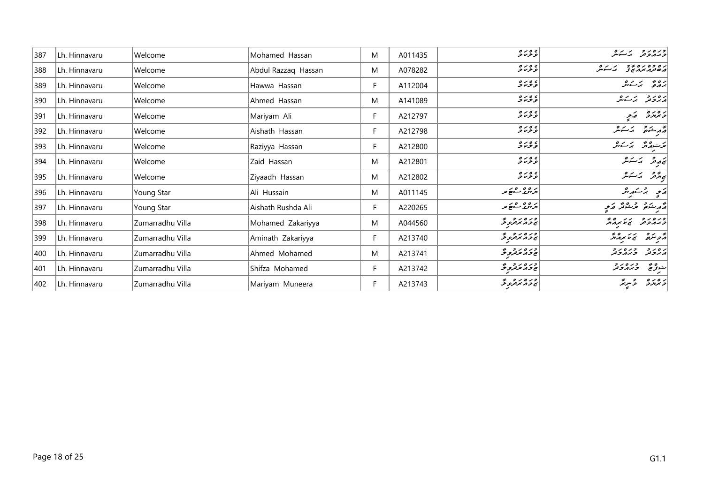| 387 | Lh. Hinnavaru | Welcome          | Mohamed Hassan      | M  | A011435 | <sup>ى 2</sup> 2 كە                                 | و رە ر د<br>تر <i>پر</i> تر تر<br>$\circ$ $\,$                      |
|-----|---------------|------------------|---------------------|----|---------|-----------------------------------------------------|---------------------------------------------------------------------|
| 388 | Lh. Hinnavaru | Welcome          | Abdul Razzaq Hassan | M  | A078282 | ء و ر ه<br> و یر ر                                  | ر ٥ ر ٥ ر ٥ <u>۶</u><br>۵ ر <i>ه تو ۹ بر ۹ ب</i> ر<br>برسەمىر       |
| 389 | Lh. Hinnavaru | Welcome          | Hawwa Hassan        | F. | A112004 | ء ورو                                               | برەپچ<br>برسوسر                                                     |
| 390 | Lh. Hinnavaru | Welcome          | Ahmed Hassan        | M  | A141089 | ء و ر ه<br> و ير ر                                  | ر ه ر د<br>م.ر <del>د</del> مر<br>$\circ$ $\sim$ $\sim$<br>- بر سوس |
| 391 | Lh. Hinnavaru | Welcome          | Mariyam Ali         | F. | A212797 | ء و ر ه<br> و ير ر                                  | ر ه بر ه<br><del>ر</del> بربرگر<br>رزمر                             |
| 392 | Lh. Hinnavaru | Welcome          | Aishath Hassan      | F. | A212798 | 0 < 0 <<br>خرخرخر                                   | پھر شہ د<br>مگر مشتوی<br>الاستوتش                                   |
| 393 | Lh. Hinnavaru | Welcome          | Raziyya Hassan      | F. | A212800 | 0 < 0 <<br>خرخرخر                                   | ىر سىدە ئە<br>$\circ$ $\sim$<br>- بر سوس                            |
| 394 | Lh. Hinnavaru | Welcome          | Zaid Hassan         | M  | A212801 | ء و ر ه<br> و ير ر                                  | اير د تر تر ته شد                                                   |
| 395 | Lh. Hinnavaru | Welcome          | Ziyaadh Hassan      | M  | A212802 | ء و ر ه<br> و ير ر                                  | ىچ ەگرىتر<br>برسەمىر                                                |
| 396 | Lh. Hinnavaru | Young Star       | Ali Hussain         | M  | A011145 | ېر ۵ ده ۱۵ کېږ                                      | اړَم پر مسکور ش                                                     |
| 397 | Lh. Hinnavaru | Young Star       | Aishath Rushda Ali  | F. | A220265 | ېر ۵ ده ۱۵ کېږ                                      | و د د د د د و د د د                                                 |
| 398 | Lh. Hinnavaru | Zumarradhu Villa | Mohamed Zakariyya   | M  | A044560 | و ر ه ر د و<br>  بح <del>و</del> ۸ برتر <i>ه</i> وگ | כנסנכ נגם                                                           |
| 399 | Lh. Hinnavaru | Zumarradhu Villa | Aminath Zakariyya   | F. | A213740 | و ره ر د و<br>بح قرار مرت <i>زه څ</i>               | $\rightarrow$ $\rightarrow$ $\rightarrow$<br>لمرتدمهم<br>アヘメンご      |
| 400 | Lh. Hinnavaru | Zumarradhu Villa | Ahmed Mohamed       | M  | A213741 | و رە ر رو<br>ىح قەم ترى <i>زى</i> ق                 | 20012<br>برورو<br><i>ح بر در د</i> ر                                |
| 401 | Lh. Hinnavaru | Zumarradhu Villa | Shifza Mohamed      | F. | A213742 | و رە ر رو<br>ىح قەم ترى <i>زى</i> ق                 | شەۋچً<br>$7 - 0 - 7$<br><i>ح بر ۸ و</i> تر                          |
| 402 | Lh. Hinnavaru | Zumarradhu Villa | Mariyam Muneera     | F. | A213743 | و رە ر دە<br>ى <i>تە</i> تەنىر <i>ە</i> ئ           | ر ه ر ه<br><del>ر</del> بربر ژ<br>ر سربر                            |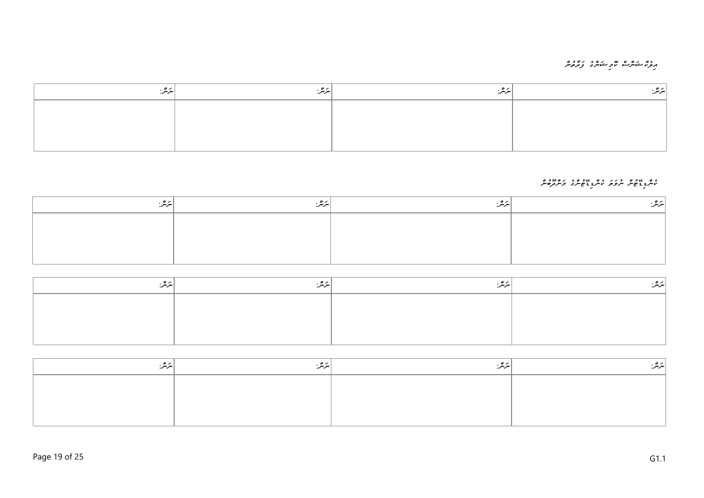## *w7qAn8m? sCw7mRo>u; wEw7mRw;sBo<*

| ' مرمر | 'يئرىثر: |
|--------|----------|
|        |          |
|        |          |
|        |          |

## *w7q9r@w7m> sCw7qHtFoFw7s; mAm=q7 w7qHtFoFw7s;*

| يئرمىش: | $^{\circ}$<br>. سر سر<br>$\cdot$ | $\circ$ $\sim$<br>-- | يئرمثر |
|---------|----------------------------------|----------------------|--------|
|         |                                  |                      |        |
|         |                                  |                      |        |
|         |                                  |                      |        |

| انترنثر: | $^{\circ}$ | يبرهر | $^{\circ}$<br>سرسر |
|----------|------------|-------|--------------------|
|          |            |       |                    |
|          |            |       |                    |
|          |            |       |                    |

| ىرتىر: | 。<br>سر سر | .,<br>مرسر |
|--------|------------|------------|
|        |            |            |
|        |            |            |
|        |            |            |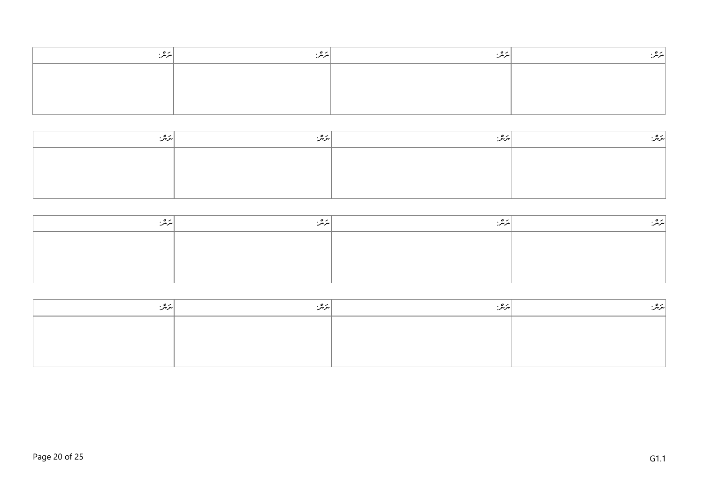| يزهر | $^{\circ}$ | ىئرىتر: |  |
|------|------------|---------|--|
|      |            |         |  |
|      |            |         |  |
|      |            |         |  |

| متريثر به | 。<br>'سرسر'۔ | يتزيترا | سرسر |
|-----------|--------------|---------|------|
|           |              |         |      |
|           |              |         |      |
|           |              |         |      |

| ىئرىتر. | $\sim$ | ا بر هه. | لىرىش |
|---------|--------|----------|-------|
|         |        |          |       |
|         |        |          |       |
|         |        |          |       |

| 。<br>مرس. | $\overline{\phantom{a}}$<br>مر سر | يتريثر |
|-----------|-----------------------------------|--------|
|           |                                   |        |
|           |                                   |        |
|           |                                   |        |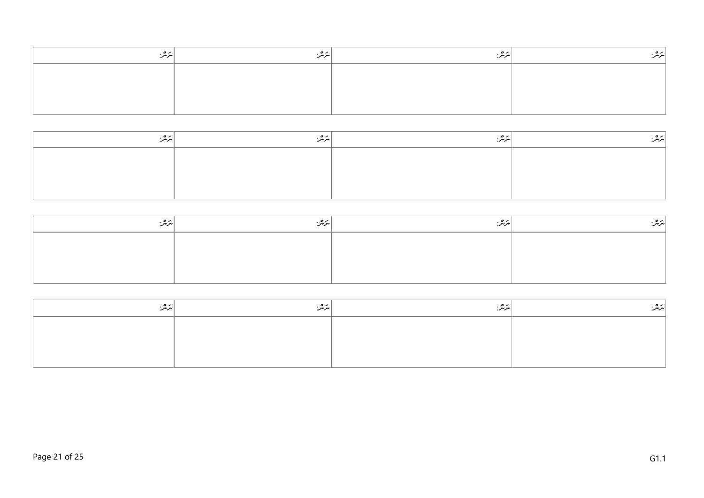| ير هو . | $\overline{\phantom{a}}$ | يرمر | اير هنه. |
|---------|--------------------------|------|----------|
|         |                          |      |          |
|         |                          |      |          |
|         |                          |      |          |

| ىر تىر: | $\circ$ $\sim$<br>" سرسر . | يبرحه | o . |
|---------|----------------------------|-------|-----|
|         |                            |       |     |
|         |                            |       |     |
|         |                            |       |     |

| 'تترنثر: | 。<br>,,,, |  |
|----------|-----------|--|
|          |           |  |
|          |           |  |
|          |           |  |

|  | . ه |
|--|-----|
|  |     |
|  |     |
|  |     |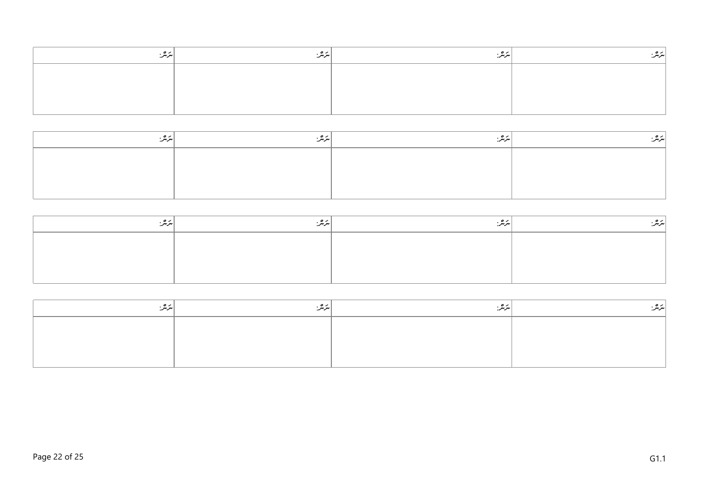| ير هو . | $\overline{\phantom{a}}$ | يرمر | اير هنه. |
|---------|--------------------------|------|----------|
|         |                          |      |          |
|         |                          |      |          |
|         |                          |      |          |

| ىر تىر: | $\circ$ $\sim$<br>" سرسر . | يبرحه | o . |
|---------|----------------------------|-------|-----|
|         |                            |       |     |
|         |                            |       |     |
|         |                            |       |     |

| 'تترنثر: | ر ه |  |
|----------|-----|--|
|          |     |  |
|          |     |  |
|          |     |  |

|  | . ه |
|--|-----|
|  |     |
|  |     |
|  |     |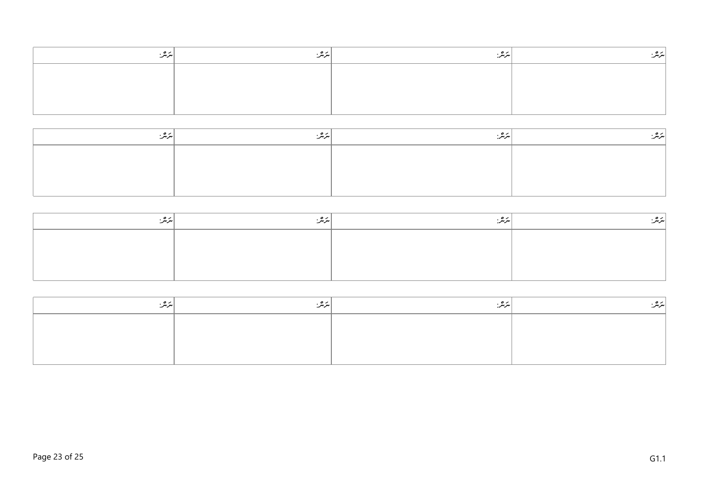| $\cdot$ | 。 | $\frac{\circ}{\cdot}$ | $\sim$<br>سرسر |
|---------|---|-----------------------|----------------|
|         |   |                       |                |
|         |   |                       |                |
|         |   |                       |                |

| يريثن | ' سرسر . |  |
|-------|----------|--|
|       |          |  |
|       |          |  |
|       |          |  |

| بر ه | . ه | $\sim$<br>سرسر |  |
|------|-----|----------------|--|
|      |     |                |  |
|      |     |                |  |
|      |     |                |  |

| 。<br>. س | ىرىىر |  |
|----------|-------|--|
|          |       |  |
|          |       |  |
|          |       |  |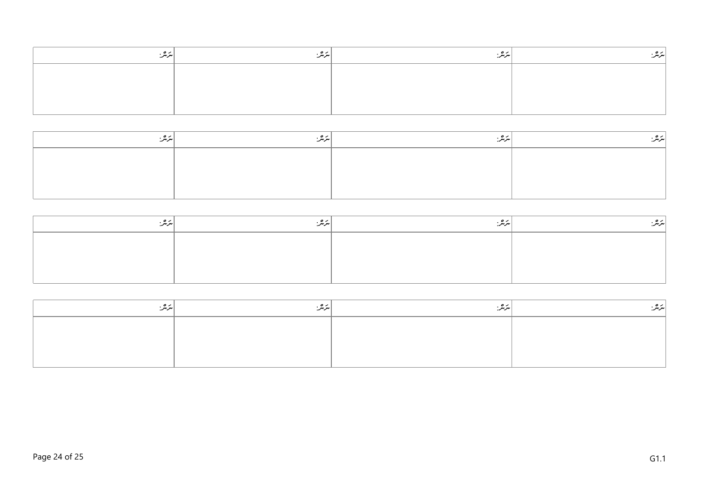| ير هو . | $\overline{\phantom{a}}$ | يرمر | اير هنه. |
|---------|--------------------------|------|----------|
|         |                          |      |          |
|         |                          |      |          |
|         |                          |      |          |

| ئىرتىر: | $\sim$<br>ا سرسر . | يئرمثر | o . |
|---------|--------------------|--------|-----|
|         |                    |        |     |
|         |                    |        |     |
|         |                    |        |     |

| انترنثر: | ر ه |  |
|----------|-----|--|
|          |     |  |
|          |     |  |
|          |     |  |

|  | . ه |
|--|-----|
|  |     |
|  |     |
|  |     |